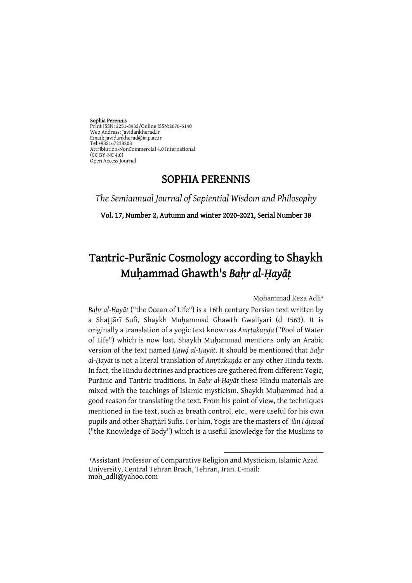Sophia Perennis Print ISSN: 2251-8932/Online ISSN:2676-6140 Web Address: Javidankherad.ir Email[: javidankherad@irip.ac.ir](mailto:javidankherad@irip.ac.ir) [Tel:+982167238208](tel:+982167238208) Attribiution-NonCommercial 4.0 International (CC BY-NC 4.0) Open Access Journal

# SOPHIA PERENNIS

*The Semiannual Journal of Sapiential Wisdom and Philosophy*

Vol. 17, Number 2, Autumn and winter 2020-2021, Serial Number 38

# Tantric-Purānic Cosmology according to Shaykh Muḥammad Ghawth's *Baḥr al-Ḥayāṭ*

Mohammad Reza Adli\*

*Baḥr al-Ḥayāt* ("the Ocean of Life") is a 16th century Persian text written by a Shaṭṭārī Sufi, Shaykh Muḥammad Ghawth Gwaliyari (d 1563). It is originally a translation of a yogic text known as *Amṛtakuṇḍa* ("Pool of Water of Life") which is now lost. Shaykh Muhammad mentions only an Arabic version of the text named *Ḥawḍ al-Ḥayāt*. It should be mentioned that *Baḥr al-Ḥayāt* is not a literal translation of *Amṛtakuṇḍa* or any other Hindu texts. In fact, the Hindu doctrines and practices are gathered from different Yogic, Purānic and Tantric traditions. In *Baḥr al-Ḥayāt* these Hindu materials are mixed with the teachings of Islamic mysticism. Shaykh Muhammad had a good reason for translating the text. From his point of view, the techniques mentioned in the text, such as breath control, etc., were useful for his own pupils and other Shaṭṭārī Sufis. For him, Yogis are the masters of *'ilm i djasad* ("the Knowledge of Body") which is a useful knowledge for the Muslims to

1

<sup>\*</sup>Assistant Professor of Comparative Religion and Mysticism, Islamic Azad University, Central Tehran Brach, Tehran, Iran. E-mail: moh\_adli@yahoo.com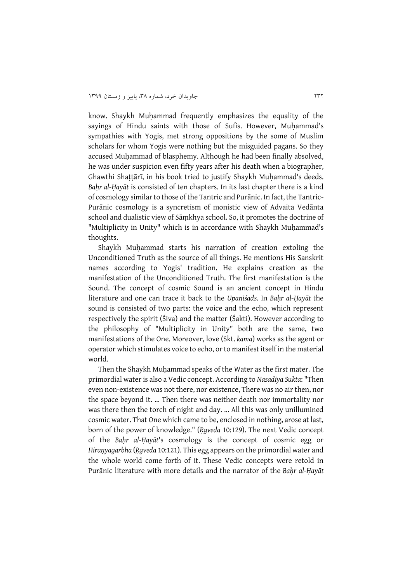know. Shaykh Muhammad frequently emphasizes the equality of the sayings of Hindu saints with those of Sufis. However, Muhammad's sympathies with Yogis, met strong oppositions by the some of Muslim scholars for whom Yogis were nothing but the misguided pagans. So they accused Muhammad of blasphemy. Although he had been finally absolved, he was under suspicion even fifty years after his death when a biographer, Ghawthi Shattārī, in his book tried to justify Shaykh Muhammad's deeds. *Baḥr al-Ḥayāt* is consisted of ten chapters. In its last chapter there is a kind of cosmology similar to those of the Tantric and Purānic. In fact, the Tantric-Purānic cosmology is a syncretism of monistic view of Advaita Vedānta school and dualistic view of Sāṃkhya school. So, it promotes the doctrine of "Multiplicity in Unity" which is in accordance with Shaykh Muhammad's thoughts.

Shaykh Muhammad starts his narration of creation extoling the Unconditioned Truth as the source of all things. He mentions His Sanskrit names according to Yogis' tradition. He explains creation as the manifestation of the Unconditioned Truth. The first manifestation is the Sound. The concept of cosmic Sound is an ancient concept in Hindu literature and one can trace it back to the *Upaniśads*. In *Baḥr al-Ḥayāt* the sound is consisted of two parts: the voice and the echo, which represent respectively the spirit (Śiva) and the matter (Śakti). However according to the philosophy of "Multiplicity in Unity" both are the same, two manifestations of the One. Moreover, love (Skt. *kama*) works as the agent or operator which stimulates voice to echo, or to manifest itself in the material world.

Then the Shaykh Muhammad speaks of the Water as the first mater. The primordial water is also a Vedic concept. According to *Nasadiya Sukta*: "Then even non-existence was not there, nor existence, There was no air then, nor the space beyond it. … Then there was neither death nor immortality nor was there then the torch of night and day. … All this was only unillumined cosmic water. That One which came to be, enclosed in nothing, arose at last, born of the power of knowledge." (*Ṛgveda* 10:129). The next Vedic concept of the *Baḥr al-Ḥayāt*'s cosmology is the concept of cosmic egg or *Hiraṇyagarbha* (*Ṛgveda* 10:121). This egg appears on the primordial water and the whole world come forth of it. These Vedic concepts were retold in Purānic literature with more details and the narrator of the *Baḥr al-Ḥayāt*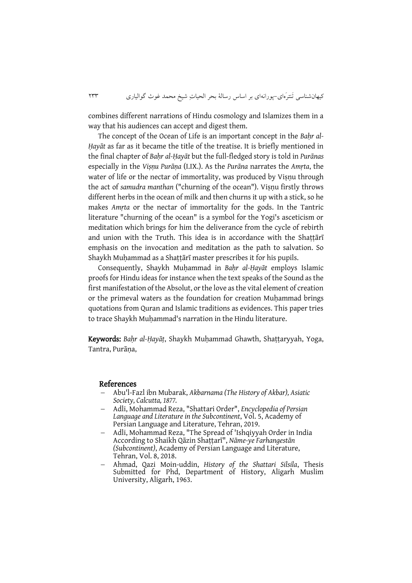combines different narrations of Hindu cosmology and Islamizes them in a way that his audiences can accept and digest them.

The concept of the Ocean of Life is an important concept in the Bahr al-*Ḥayāt* as far as it became the title of the treatise. It is briefly mentioned in the final chapter of *Baḥr al-Ḥayāt* but the full-fledged story is told in *Purānas* especially in the *Viṣṇu Purāṇa* (I.IX.). As the *Purāna* narrates the *Amṛta*, the water of life or the nectar of immortality, was produced by Visnu through the act of *samudra manthan* ("churning of the ocean"). Viṣṇu firstly throws different herbs in the ocean of milk and then churns it up with a stick, so he makes *Amṛta* or the nectar of immortality for the gods. In the Tantric literature "churning of the ocean" is a symbol for the Yogi's asceticism or meditation which brings for him the deliverance from the cycle of rebirth and union with the Truth. This idea is in accordance with the Shaṭṭārī emphasis on the invocation and meditation as the path to salvation. So Shaykh Muhammad as a Shattārī master prescribes it for his pupils.

Consequently, Shaykh Muḥammad in *Baḥr al-Ḥayāt* employs Islamic proofs for Hindu ideas for instance when the text speaks of the Sound as the first manifestation of the Absolut, or the love as the vital element of creation or the primeval waters as the foundation for creation Muhammad brings quotations from Quran and Islamic traditions as evidences. This paper tries to trace Shaykh Muhammad's narration in the Hindu literature.

Keywords: *Baḥr al-Ḥayāṭ*, Shaykh Muḥammad Ghawth, Shaṭṭaryyah, Yoga, Tantra, Purāṇa,

### References

- [Abu'l-Fazl ibn Mubarak,](https://en.wikipedia.org/wiki/Abu%27l-Fazl_ibn_Mubarak) *Akbarnama (The History of [Akbar\)](https://en.wikipedia.org/wiki/Akbar), [Asiatic](https://en.wikipedia.org/wiki/Asiatic_Society)  [Society,](https://en.wikipedia.org/wiki/Asiatic_Society) Calcutta, 1877.*
- Adli, Mohammad Reza, "Shattari Order", *Encyclopedia of Persian Language and Literature in the Subcontinent*, Vol. 5, Academy of Persian Language and Literature, Tehran, 2019.
- Adli, Mohammad Reza, "The Spread of 'Ishqiyyah Order in India According to Shaikh Qāzin Shaṭṭarī", *Nāme-ye Farhangestān (Subcontinent)*, Academy of Persian Language and Literature, Tehran, Vol. 8, 2018.
- Ahmad, Qazi Moin-uddin, *History of the Shattari Silsila*, Thesis Submitted for Phd, Department of History, Aligarh Muslim University, Aligarh, 1963.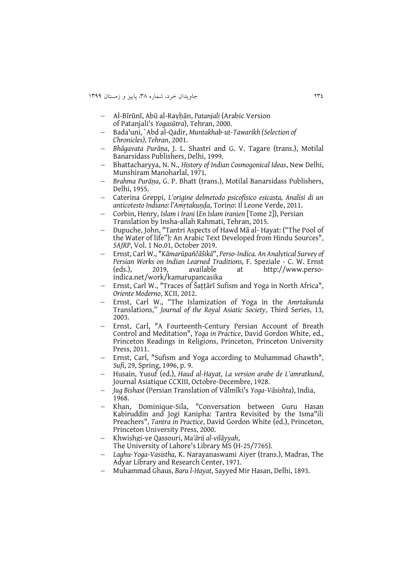- Al-Bīrūnī, Abū al-Rayḥān, *Patanjali* (Arabic Version of Patanjali's *Yogasūtra*), Tehran, 2000.
- Bada'uni, `Abd al-Qadir, *Muntakhab-ut-Tawarikh (Selection of Chronicles), Tehran*, 2001.
- *Bhāgavata Purāṇa*, J. L. Shastri and G. V. Tagare (trans.), Motilal Banarsidass Publishers, Delhi, 1999.
- Bhattacharyya, N. N., *History of Indian Cosmogonical Ideas*, New Delhi, Munshiram Manoharlal, 1971.
- *Brahma Purāṇa*, G. P. Bhatt (trans.), Motilal Banarsidass Publishers, Delhi, 1955.
- Caterina Greppi, *L'origine delmetodo psicofisico esicasta, Analisi di un anticotesto Indiano: l'Amṛtakuṇḍa*, Torino: Il Leone Verde, 2011.
- Corbin, Henry, *Islam i Irani* (*En Islam iranien* [Tome 2]), Persian Translation by Insha-allah Rahmati, Tehran, 2015.
- Dupuche, John, "Tantri Aspects of Hawd Mā al- Hayat: ("The Pool of the Water of life"): An Arabic Text Developed from Hindu Sources", *SAJRP*, Vol. 1 No.01, October 2019.
- Ernst, Carl W., "*Kāmarūpañčāšikā*", *Perso-Indica. An Analytical Survey of Persian Works on Indian Learned Traditions*, F. Speziale - C. W. Ernst 2019, available at [http://www.perso](http://www.perso-indica.net/work/kamarupancasika)[indica.net/work/kamarupancasika](http://www.perso-indica.net/work/kamarupancasika)
- Ernst, Carl W., "Traces of Šaṭṭārī Sufism and Yoga in North Africa", *Oriente Moderno*, XCII, 2012.
- Ernst, Carl W., "The Islamization of Yoga in the *Amrtakunda*  Translations," *Journal of the Royal Asiatic Society*, Third Series, 13, 2003.
- Ernst, Carl, "A Fourteenth-Century Persian Account of Breath Control and Meditation", *Yoga in Practice*, David Gordon White, ed., Princeton Readings in Religions, Princeton, Princeton University Press, 2011.
- Ernst, Carl, "Sufism and Yoga according to Muhammad Ghawth", *Sufi*, 29, Spring, 1996, p. 9.
- Husain, Yusuf (ed.), *Haud al-Hayat*, *La version arabe de L'amratkund*, Journal Asiatique CCXIII, Octobre-Decembre, 1928.
- *Jug Bishast* (Persian Translation of Vālmīki's *[Yoga-Vâsishta](https://archive.org/stream/yogavasishtalagh00aiyeuoft#page/n3/mode/2up)*), India, 1968.
- Khan, Dominique-Sila, "Conversation between Guru Hasan Kabiruddin and Jogi Kanipha: Tantra Revisited by the Isma"ili Preachers", *Tantra in Practice*, David Gordon White (ed.), Princeton, Princeton University Press, 2000.
- Khwishgi-ye Qassouri, *Ma'ārij al-vilāyyah*, The University of Lahore's Library MS (H-25/7765).
- *Laghu-Yoga-Vasistha*, K. Narayanaswami Aiyer (trans.), Madras, The Adyar Library and Research Center, 1971.
- Muhammad Ghaus, *Baru l-Hayat*, Sayyed Mir Hasan, Delhi, 1893.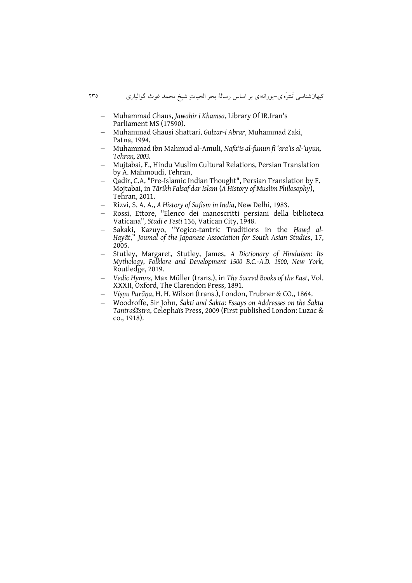- Muhammad Ghaus, *Jawahir i Khamsa*, Library Of IR.Iran's Parliament MS (17590).
- Muhammad Ghausi Shattari, *Gulzar-i Abrar*, Muhammad Zaki, Patna, 1994.
- Muhammad ibn Mahmud al-Amuli, *Nafa'is al-funun fi 'ara'is al-'uyun, Tehran, 2003.*
- Mujtabai, F., Hindu Muslim Cultural Relations, Persian Translation by A. Mahmoudi, Tehran,
- Qadir, C.A, "Pre‐Islamic Indian Thought", Persian Translation by F. Mojtabai, in *Tārikh Falsaf dar Islam* (*A History of Muslim Philosophy*), Tehran, 2011.
- Rizvi, S. A. A., *A History of Sufism in India*, New Delhi, 1983.
- Rossi, Ettore, "Elenco dei manoscritti persiani della biblioteca Vaticana", *Studi e Testi* 136, Vatican City, 1948.
- Sakaki, Kazuyo, "Yogico-tantric Traditions in the *Ḥawḍ al-Ḥayāt*," *Joumal of the Japanese Association for South Asian Studies*, 17, 2005.
- Stutley, Margaret, Stutley, James, *A Dictionary of Hinduism: Its Mythology, Folklore and Development 1500 B.C.-A.D. 1500, New York*, Routledge, 2019.
- *Vedic Hymns*, Max Müller (trans.), in *The Sacred Books of the East*, Vol. XXXII, Oxford, The Clarendon Press, 1891.
- *Viṣṇu Purāṇa*, H. H. Wilson (trans.), London, Trubner & CO., 1864.
- Woodroffe, Sir John, *Śakti and Śakta: Essays on Addresses on the Śakta Tantraśāstra*, Celephaïs Press, 2009 (First published London: Luzac & co., 1918).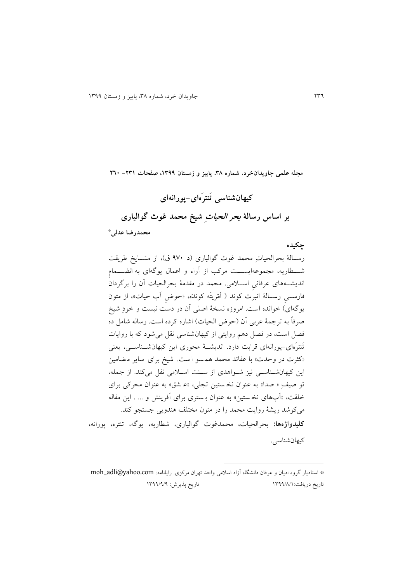**مجله علمی جاویدانخرد، شماره ،83 پاییز و زمستان ،9811 صفحات -189 162**

**کیهان شناسی ت نتر های-پورانهای بر اساس رسالۀ بحر الحیات شیخ محمد غوث گوالیاری \* محمدرضا عدلی**

**چکیده**

رسـالۀ بحرالحیاتِ محمد غوث گوالیاری (د ۹۷۰ ق)، از مشـایخ طریقت شــطاريه، مجموعهايســـت مرکب از آراء و اعمال يوگهای به انضـــمام انديشـههای عرفانی اسـلامی. محمد در مقدمۀ بحرالحیات آن را برگردان فارســـی رســالۀ انبرَت کوند ( اَمْريتَه کوندَه، «حوض آب حیات»، از متون يوگهای) خوانده است. امروزه نسخۀ اصلی آن در دست نيست و خودِ شيخ صرفاً به ترجمۀ عربی آن (حوض الحیات) اشاره کرده است. رساله شامل ده فصل است، در فصل دهم روايتی از کیهانشناسی نقل میشود که با روايات تَنترَهای-پورانهای قرابت دارد. انديشــۀ محوری اين کیهانشــناســی، يعنی «کثرت در وحدت» با عقائد محمد همسو است. شیخ برای سایر مضامین این کیهانشاناسی نیز شواهدی از سـنت اسـلامی نقل میکند. از جمله، تو صیفِ « صدا» به عنوان نخستین تجلی، «عشق» به عنوان محرکی برای خلقت، »آبهای نخ ستین « به عنوان ب ستری برای آفرينش و ... . اين مقاله میکوشد ريشۀ روايت محمد را در متون مختلف هندويی جستجو کند. **کلیدواژهها:** بحرالحیات، محمدغوث گوالیاری، شیاريه، يوگه، تنتره، پورانه، کیهانشناسی.

 $\overline{\phantom{a}}$ 

<sup>\*</sup> استاديار گروه اديان و عرفان دانشگاه آزاد اسلامی واحد تهران مرکزی. رايانامه: moh\_adli@yahoo.com تاريخ دريافت: ١٣٩٩/٨/١ ١٣٩٩/٨/١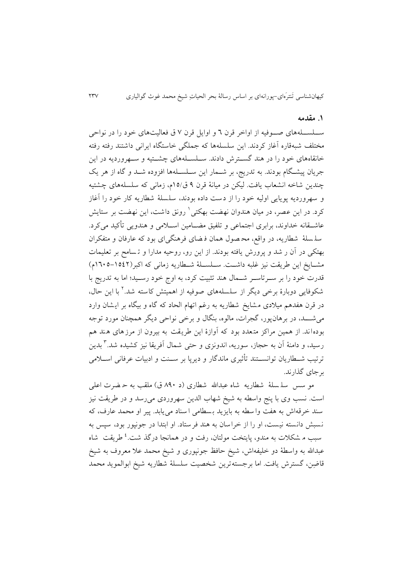### **.9 مقدمه**

ســلســلههای صــوفیه از اواخر قرن ٦ و اوایل قرن ٧ ق فعالیتهای خود را در نواحی مختلف شبه قاره آغاز کردند. اين سلسله ها که جملگی خاستگاه ايرانی داشتند رفته رفته خانقاههای خود را در هند گسـترش دادند. سـلسـلههای چشـتیه و سـهروردیه در این جريان پیشگام بودند. به تدريج، بر شــمار اين ســلســلهها افزوده شــد و گاه از هر يک چندين شاخه انشعاب يافت. لیکن در میانۀ قرن 1 ق92/ ، زمانی که سلسله های چشتیه و سهرورديه پويايی اوليه خود را از دست داده بودند، سلسلۀ شطاريه کار خود را آغاز کرد. در اين عصر، در ميان هندوان نهضت بهکتی` رونق داشت، اين نهضت بر ستايش عاشــقانه خداوند، برابری اجتماعی و تلفیق مضــامین اســلامی و هندویی تأکید میکرد. سله سلهٔ شطاريه، در واقع، مح صول همان فرضای فرهنگی ای بود که عارفان و متفکران بهتکی در آن ر شد و پرورش يافته بودند. از اين رو، روحیه مدارا و ت سامح بر تعلیمات مشایخ این طریقت نیز غلبه داشت. سـلسـلۀ شـطاریه زمانی که اکبر(۱۵٤۲–۱٦٠٥م) قدرت خود را بر سـرتاسـر شـمال هند تثبیت کرد، به اوج خود رسـید؛ اما به تدریج با 2 شکوفايی دوبارۀ برخی ديگر از سلسله های صو فیه از اهمیتش کاسته شد. با اين حال، در قرن هفدهم میلادی مشايخ شطاريه به رغم اتهام الحاد که گاه و بیگاه بر ايشان وارد می شـــد، در برهان پور، گجرات، مالوه، بنگال و برخی نواحی دیگر همچنان مورد توجه بودهاند. از همین مراکز متعدد بود که آوازۀ اين طريقت به بیرون از مرزهای هند هم رسيد، و دامنۀ اَن به حجاز، سوريه، اندونزی و حتی شمال اَفريقا نيز کشيده شد.<sup>۳</sup> بدين ترتیب شـطاریان توانســتند تأثیری ماندگار و دیرپا بر ســنت و ادبیات عرفانی اســلامی برجای گذارند.

مو سس سلمسلۀ شطاريه شاه عبدالله شطاری (د ۸۹۰ ق) ملقب به حـضرت اعلی است. نسب وی با پنج واسطه به شیخ شهاب الدین سهروردی می رسد و در طریقت نیز سند خرقه اش به هفت وا سطه به بايزيد بسطامی ا سناد می يابد. پير او محمد عارف، كه نسبش دانسته نیست، او را از خراسان به هند فرستاد. او ابتدا در جونپور بود، سپس به سبب م شکلات به مندو، پايتخت مولتان، رفت و در همانجا درگذ شت.<sup>نم</sup> طريقت شاه عبدالله به واسطهٔ دو خلیفه اش، شیخ حافظ جونپوری و شیخ محمد علا معروف به شیخ قاضِن، گسترش يافت. اما برجسته ترين شخصيت سلسلۀ شطاريه شيخ ابوالمويد محمد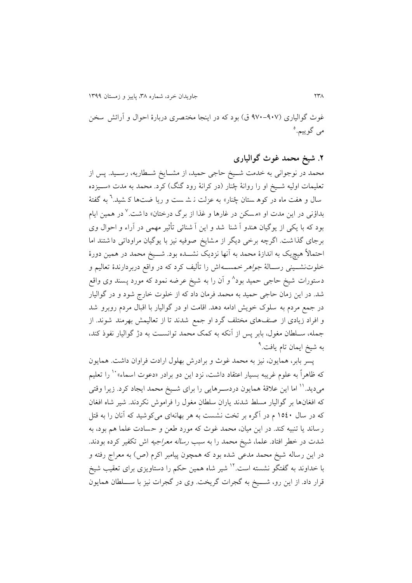غوث گوالیاری (۹۰۷-۹۷۰ ق) بود که در اینجا مختصری دربارۀ احوال و آرائش سخن می گوييم.°

# **.1 شیخ محمد غوث گوالیاری**

محمد در نوجوانی به خدمت شــيخ حاجی حمید، از مشــایخ شــطاریه، رســید. پس از تعلیمات اولیه شــیخ او را روانۀ چُنار (در کرانۀ رود گنگ) کرد. محمد به مدت «ســیزده سال و هفت ماه در کوه ستان چُنار» به عزلت نـ شـ ست و ریا ضتها کـ شید.<sup>٦</sup> به گفتهٔ بداؤنی در این مدت او «مسکن در غارها و غذا از برگ درختان» داشت.<sup>۷</sup> در همین ایام بود که با يکی از يوگیان هندو آ شنا شد و اين آ شنائی تی یر مهمی در آراء و احوال وی برجای گذا شت. اگرچه برخی ديگر از م شايخ صوفیه نیز با يوگیان مراوداتی دا شتند اما احتمالاً هیچیک به اندازۀ محمد به آنها نزدیک نشـــده بود. شـــیخ محمد در همین دورۀ خلوتنشــینی رســالۀ *جواهر خ*مســـهاش را تألیف کرد که در واقع دربردارندۀ تعالیم و دستورات شیخ حاجی حمید بود^ و اَن را به شیخ عرضه نمود که مورد پسند وی واقع شد. در اين زمان حاجی حمید به محمد فرمان داد که از خلوت خارر شود و در گوالیار در جمع مردم به سلوک خويش ادامه دهد. اقامت او در گواليار با اقبال مردم روبرو شد و افراد زيادی از صنف های مختلف گرد او جمع شدند تا از تعالیمش بهرمند شوند. از جمله، سـلطان مغول، بابر پس از آنکه به کمک محمد توانسـت به دژ گوالیار نفوذ کند، به شیخ ایمان تام یافت.<sup>۹</sup>

پسر بابر، همايون، نیز به محمد غوث و برادرش بهلول ارادت فراوان داشت. همايون که ظاهراً به علوم غريبه بسيار اعتقاد داشت، نزد اين دو برادر «دعوت اسماء» `` را تعليم میديد.<sup>۱۱</sup> اما اين علاقۀ همايون دردســرهايی را برای شــيخ محمد ايجاد کرد. زيرا وقتی که افلان ها بر گوالیار مسلط شدند ياران سلیان ملول را فراموش نکردند. شیر شاه افلان که در سال 9229 در آگره بر تخت نشست به هر بهانه ای میکوشید که آ نان را به قتل رساند يا تنبیه کند. در اين میان، محمد غوث که مورد طعن و حسادت علما هم بود، به شدت در خیر افتاد. علما، شیخ محمد را به سبب رساله معراجیه اش تکقیر کرده بودند. در اين رساله شيخ محمد مدعی شده بود که همچون پيامبر اکرم (ص) به معراج رفته و با خداوند به گفتگو نشسته است.<sup>۱۲</sup> شیر شاه همین حکم را دستاویزی برای تعقیب شیخ قرار داد. از اين رو، شــــيخ به گجرات گريخت. وی در گجرات نيز با ســــلطان همايون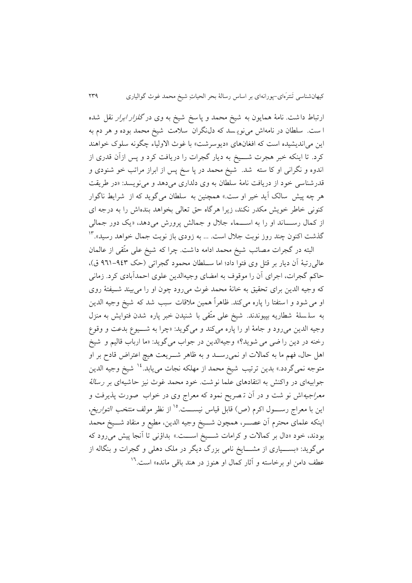ارتباط داشت. نامۀ همايون به شيخ محمد و پاسخ شيخ به وی در *گلزار ابرار* نقل شده ا ست. سلیان در نامه اش مینوي سد که دل نگران سیمت شیخ محمد بوده و هر د به اين می|نديشيده است که افغانهای «ديوسرشت» با غوث الاولياء چگونه سلوک خواهند کرد. تا اینکه خبر هجرت شـــيخ به ديار گجرات را دريافت کرد و پس ازآن قدری از اندوه و نگرانی او کا سته شد. شیخ محمد در پا سخ پس از ابراز مراتب خو شنودی و قدرشناسی خود از دريافت نامۀ سلیان به وی دلداری می دهد و مینويسد: »در طريقت هر چه پیش سالک آيد خیر او ست.» همچنین به سلطان میگويد که از شرايط ناگوار کنونی خاطر خويش مکدر نکند، زيرا هرگاه حق تعالی بخواهد بنده اش را به درجه ای از کمال رســـاند او را به اســـماء جلال و جمالش پرورش می دهد، «يک دور جمالی گذشت اکنون چند روز نوبت جلال است. ... به زودی باز نوبت جمال خواهد رسید».<sup>۱۳</sup>

البته در گجرات مصائب شیخ محمد ادامه داشت. چرا که شیخ علی متّقی از عالمان عالی رتبۀ آن ديار بر قتل وی فتوا داد؛ اما سـلطان محمود گجراتی (حک ٩٤٣-٩٦١ ق)، حاکم گجرات، اجرای آن را موقوف به امضای وجیهالدين علوی احمدآبادی کرد. زمانی که وجیه الدین برای تحقیق به خانۀ محمد غوث میرود چون او را می بیند شـیفتۀ روی او می شود و استفتا را پاره می کند. ظاهراً همین ملاقات سبب شد که شیخ وجیه الدین به سلسلۀ شطاريه بپیوندند. شیخ علی متّقی با شنیدن خبر پاره شدن فتوايش به منزل وجیه الدین میرود و جامۀ او را پاره میکند و میگوید: «چرا به شـــيوع بدعت و وقوع رخنه در دين را ضي مي شويد؟» وجيهالدين در جواب مي گويد: «ما ارباب قاليم و شيخ اهل حال، فهم ما به کمالات او نمی رسـد و به ظاهر شــريعت هیچ اعتراض قادح بر او متوجه نمیگردد.» بدين ترتیب شیخ محمد از مهلکه نجات مییابد.<sup>۱۶</sup> شیخ وجیه الدین جوابیهای در واکنش به انتقادهای علما نوشت. خود محمد غوث نیز حاشیهای بر رس*الۀ* معراجیهاش نو شت و در آن ت صريح نمود که معرار وی در خواب صورت پذير فت و اين با معراج رســــول اكرم (ص) قابل قياس نيســـت.<sup>16</sup>از نظر مولف *منتخب التواريخ*، اينکه علمای محترم آن عصـــر، همچون شـــيخ وجیه الدين، مطيع و منقاد شـــيخ محمد بودند، خود «دال بر کمالات و کرامات شـــیخ اســـت.» بداؤنی تا آنجا پیش می رود که میگويد: «بســياری از مشـــايخ نامی بزرگ ديگر در ملک دهلی و گجرات و بنگاله از عطف دامن او برخاسته و آثار کمال او هنوز در هند باقی مانده» است.<sup>۱۲</sup>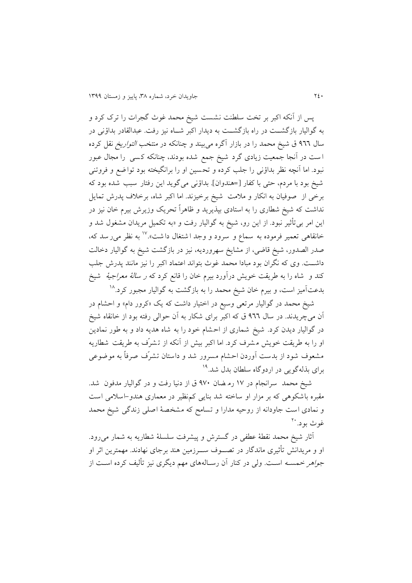پس از آنکه اکبر بر تخت سلینت نشست شیخ محمد غوث گجرات را ترک کرد و به گواليار بازگشــت در راه بازگشــت به ديدار اکبر شــاه نيز رفت. عبدالقادر بداؤنی در سال 122 ق شیخ محمد را در بازار آگره میبیند و چنانکه در منتخب التواريخ نقل کرده ا ست در آنجا جمعیت زيادی گرد شیخ جمع شده بودند، چنانکه ک سی را مجال عبور نبود. اما آنچه نظر بداؤنی را جلب کرده و تح سین او را برانگیخته بود توا ضع و فروتنی شیخ بود با مردم، حتی با کفار [=هندوان]. بداؤنی میگوید این رفتار سبب شده بود که برخی از صوفیان به انکار و ملامت شیخ برخیزند. اما اکبر شاه، برخلاف پدرش تمایل نداشت که شیخ شطاری را به استادی بپذيريد و ظاهراً تحريک وزيرش بيرم خان نيز در اين امر بی تأثير نبود. از اين رو، شيخ به گواليار رفت و «به تکميل مريدان مشغول شد و خانقاهی تعمیر فرموده به سماع و سرود و وجد اشتغال داشت»." به نظر می رسد که، صدر الصدور، شیخ قاضی، از مشايخ سهرورديه، نیز در بازگشت شیخ به گوالیار دخالت داشــت. وی که نگران بود مبادا محمد غوث بتواند اعتماد اکبر را نیز مانند پدرش جلب کند و شاه را به طريقت خويش درآورد بيرم خان را قانع کرد که *ر سالۀ معراجيۀ* شيخ بدعتآمیز است، و بیرم خان شیخ محمد را به بازگشت به گوالیار مجبور کرد.<sup>۱۸</sup>

شیخ محمد در گوالیار مرتعی وسیع در اختیار داشت که یک «کرور دام» و احشام در آن میچريدند. در سال 122 ق که اکبر برای شکار به آن حوالی رفته بود از خانقاه شیخ در گواليار ديدن کرد. شيخ شماری از احشام خود را به شاه هديه داد و به طور نمادين او را به طريقت خويش م شرف کرد. اما اکبر بیش از آنکه از ت شر ف به طريقت شیاريه مشعوف شود از بدست آوردن احشام مسرور شد و داستان تشرّف صرفاً به موضوعی برای بذلهگویی در اردوگاه سلطان بدل شد.<sup>۱۹</sup>

شیخ محمد سرانجام در ۱۷ ره ضان ۹۷۰ ق از دنیا رفت و در گوالیار مدفون شد. مقبره باشکوهی که بر مزار او ساخته شد بنايی کم نظیر در معماری هندو-اسیمی اس ت و نمادی است جاودانه از روحیه مدارا و تسامح که مشخص ۀ اصلی زندگی شیخ محمد غوث بود. <sup>۲۰</sup>

آثار شیخ محمد نقطۀ عطفی در گسترش و پیشرفت سلسلۀ شطاریه به شمار می رود. او و مريدانش تأثيري ماندگار در تصـــوف ســـرزمين هند برجای نهادند. مهمترين اثر او ج*واهر خمسـه* اسـت. ولی در کنار آن رسـالههای مهم دیگری نیز تألیف کرده اسـت از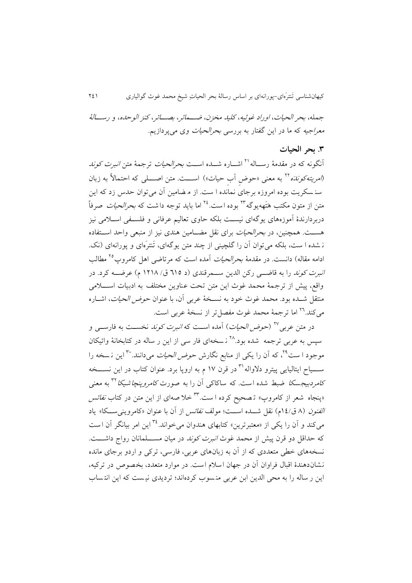جمله، بحر الحیات، او راد غو ثبه، کلید مخزن، ضــهائر، بصــائر، کنز الوحده، و رســالۀ *معراجیه* که ما در این گفتار به بررس*ی بحرالحیات* وی میپردازیم.

### **.8 بحر الحیات**

أنگونه که در مقدمۀ رســـاله'<sup>۲</sup> اشـــاره شـــده اســـت *بحرالحیات* ترجمۀ متن *انبرت کوند* (*امريته کونده* <sup>۲۲</sup> به معنى «حوض آب حيات») اســـت. متن اصــــلى که احتمالاً به زبان سن سکريت بوده امروزه برجای نمانده ا ست. از م ضامین آن می توان حدس زد که اين متن از متون مکتب هَتَههيوگه<sup>۲۳</sup> بوده است. <sup>7٤</sup> اما بايد توجه داشت که *بحرالحيات* صرفاً دربردارندۀ آموزههای يوگهای نیسات بلکه حاوی تعالیم عرفانی و فلساقی اسایمی نیز هســت. همچنین، در *بحرالحیات* برای نقل مضــامین هندی نیز از منبعی واحد اســتفاده ن شده ا ست، بلکه می توان آن را گلچینی از چند متن پوگهای، تَنترَمای و پورانهای (نک. ادامه مقاله) دانست. در مقدمۀ *بحرالحیات* آمده است که مرتاضی اهل کامروپ°<sup>۲</sup> مطالب ا*نبرت کوند* را به قاضــی رکن الدين ســـمرقندی (د ٦١٥ ق/ ١٢١٨ م) عرضـــه کرد. در واقع، پیش از ترجمۀ محمد غوث اين متن تحت عناوين مختلف به ادبيات اســـلامى منتقل شــده بود. محمد غوث خود به نســخۀ عربی آن، با عنوان ح*وض الحیات*، اشــاره میکند.<sup>۲٦</sup> اما ترجمۀ محمد غوث مفصل¤ر از نسخۀ عربی است.

در متن عربی<sup>۲۷</sup> (*حوض الحیات*) آمده اســت که *انبرت کوند* نخســت به فارســی و سیس به عربی ترجمه شده بود.<sup>۲۸</sup> نسخهای فار سی از این ر ساله در کتابخانۀ واتیکان موجود ا ست<sup>۲۹</sup>، که آن را يکی از منابع نگارش *حوض الحیات* میدانند. <sup>۳۰</sup> اين نـسخه را ســـياح ايتاليايی پيترو دلاواله'<sup>۳</sup> در قرن ۱۷ م به اروپا برد. عنوان کتاب در اين نســـخه ک*امردبیجسکا* ضبط شده است. که ساکاکی اُن را به صورت *کامروپنچاشیکا* <sup>۳۲</sup> به معنی بپنجاه شعر از کامروپ» تـصحیح کرده ا ست.<sup>۲۳</sup>خلا صهای از این متن در کتاب *نفائس* ا*لفنون* (۸ ق/١٤م) نقل شـــده اســـت؛ مولف *نفائس* از آن با عنوان «کامروينىســکا» ياد میکند و آن را يکی از «معتبرترين» کتابهای هندوان میخواند.<sup>۳٤</sup> اين امر بيانگر آن است که حداقل دو قرن پیش از محمد غوث *انبرت کوند* در میان مســـلمانان رواج داشــــت. نسخههای خیی متعددی که از آن به زبانهای عربی، فارسی، ترکی و اردو برجای مانده نشان دهندۀ اقبال فراوان آن در جهان اسلام است. در موارد متعدد، بخصوص در ترکیه، اين ر ساله را به محی الدين ابن عربی منسوب کردهاند؛ ترديدی نيست که اين انتساب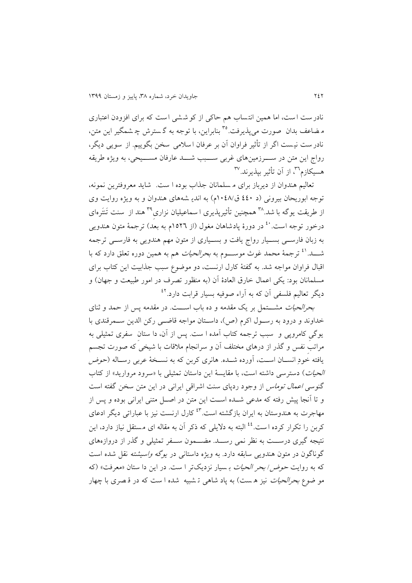نادر ست ا ست، اما همین انت ساب هم حاکی از کو ش شی ا ست که برای افزودن اعتباری م ضاعف بدان ًصورت مي پذيرفت.°° بنابراين، با توجه به گسترش چ شمگیر اين متن، نادر ست نیست اگر از تأثیر فراوان آن بر عرفان ا سلامی سخن بگوییم. از سویی دیگر، رواج اين متن در سـوزمينهای غربی ســـبب شـــد عارفان مســـيحی، به ويژه طريقه هسیکازم™، از آن تأثیر بپذیرند.™

تعالیم هندوان از ديرباز برای م سلمانان ج ذاب بوده ا ست. شايد معروفترين نمونه، توجه ابوريحان بيروني (د ٤٤٠ ق/١٠٤٨م) به اندي شههای هندوان و به ويژه روايت وی از طریقت یوگه با شد.<sup>۳۸</sup> همچنین تأثیرپذیری ا سماعیلیان نزاریِ<sup>۳۹</sup> هند از سنت تَنتَرەای درخور توجه است.<sup>٤</sup> در دورۀ پادشاهان مغول (از ١٥٢٦م به بعد) ترجمۀ متون هندويي به زبان فارســی بســيار رواج يافت و بســياری از متون مهم هندويی به فارســی ترجمه شــد.<sup>21</sup> ترجمۀ محمد غوث موســـوم به *بحرالحیات* هم به همین دوره تعلق دارد که با اقبال فراوان مواجه شد. به گقتۀ کارل ارنست، دو موضود سبب جذابیت اين کتاب برای مسلمانان بود: يکي اعمال خارق العادۀ آن (به منظور تصرف در امور طبیعت و جهان) و دیگر تعالیم فلسفی آن که به آراء صوفیه بسیار قرابت دارد.<sup>٤٢</sup>

بحر*الحیات* مشـــتمل بر یک مقدمه و ده باب اســـت. در مقدمه پس از حمد و ثنای خداوند و درود به رسول اکرم (ص)، داستان مواجه قاضی رکن الدين سـمرقندی با يوگی کامروپی و سبب ترجمه کتاب آمده ا ست. پس از آن، دا ستان سقری تمثیلی به مراتب نفس و گذر از درهای مختلف آن و سرانجام ملاقات با شیخی که صورت تجسم یافته خودِ انســان اســت، آورده شــده. هانری کربن که به نســخۀ عربی رســاله (ح*وض* الحی*ات*) دستر سی داشته است، با مقايسۀ اين داستان تمثيلی با «سرود مرواريد» از کتاب گنوسی اعمال توماس از وجود ردپای سنت اشراقی ايرانی در اين متن سخن گقته است و تا آنجا پیش رفته که مدعی شــده اســت اين متن در اصــل متنی ايرانی بوده و پس از مهاجرت به هندوستان به ايران بازگشته است.<sup>۶۳</sup> كارل ارنست نيز با عباراتي ديگر ادعاي کربن را تکرار کرده است.<sup>٤٤</sup> البته به دلایلی که ذکر آن به مقاله ای مستقل نیاز دارد، این نتیجه گیری درســت به نظر نمی رســد. مضـــمون ســفر تمثیلی و گذر از دروازههای گوناگون در متون هندويی سابقه دارد. به ويژه داستانی در *يوگه واسيشته* نقل شده است که به روايت *حوض/ بحر الحيات* بـ سيار نزديکتر ا ست. در اين دا ستان «معرفت» (که مو ضوع *بحرالحیات* نیز هست) به پاد شاهی تشبیه شده ا ست که در قصری با چهار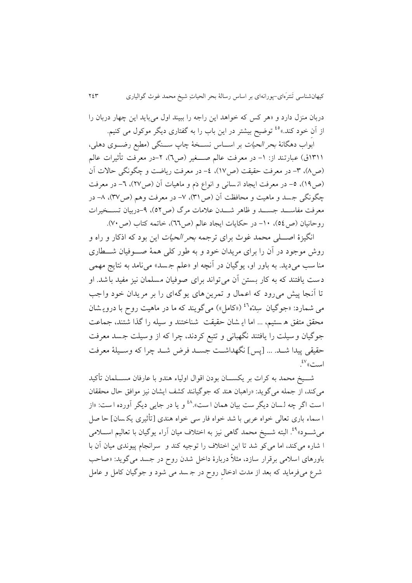دربان منزل دارد و »هر کس که خواهد اين راجه را ببیند اول می بايد اين چهار دربان را از آنِ خود کند.»<sup>ه،</sup> توضیح بیشتر در این باب را به گفتاری دیگر موکول می کنیم.

ابواب دهگانۀ *بحر الحیات* بر اســـاس نســـخۀ چاپ ســـنگی (مطبع رضـــوی دهلی، 931ق) عبارتند از: ١– در معرفت عالم صـــغیر (ص٢)، ٢–در معرفت تأثیرات عالم (ص۸)، ۳- در معرفت حقیقت (ص۱۷)، ٤- در معرفت رياضت و چگونگی حالات آن (ص14)، ٥- در معرفت ايجاد ان ساني و انواع دَم و ماهيات آن (ص٢٧)، ٦- در معرفت چگونگی جسد و ماهیت و محافظت آن (ص ٣١)، ٧- در معرفت وهم (ص٣٧)، ٨- در معرفت مفاســد جســد و ظاهر شـــدن علامات مرگ (ص٥٢)، ٩-دربیان تســخیرات روحانیان (ص26)، ١٠- در حکايات ايجاد عالم (ص٦٦)، خاتمه کتاب (ص٧٠).

انگیزۀ اصــــلی محمد غوث برای ترجمه *بحر الحیات* این بود که اذکار و راه و روش موجود در آن را برای مريدان خود و به طور کلی همۀ صـــوفيان شـــطاری منا سب می ديد. به باور او، يوگيان در آنچه او «علم جسد» می نامد به نتايج مهمی دست يافتند که به کار بستن آن می تواند برای صوفیان مسلمان نیز مقید باشد. ا و تا آنجا پیش می رود که اعمال و تمرين های يوگه ای را بر مريدان خود واجب می شمارد: «جوگیان سِلدّه<sup>۶٬</sup> («کامل») میگویند که ما در ماهیت روح با درویـشان محقق متقق ه ستیم، ... اما اي شان حقیقت شناختند و سیله را گذا شتند، جماعت جوگیان وسیلت را يافتند نگهبانی و تتبع کردند، چرا که از وسیلت جسد معرفت حقیقی پیدا شــد. ... [پس] نگهداشــت جســد فرض شــد چرا که وســيلۀ معرفت  $\mathcal{L}^{\mathsf{V}}$ ست» .

شـــيخ محمد به کرات بر يکســــان بودن اقوال اولياء هندو با عارفان مســــلمان تأکيد میکند، از جمله میگويد: »راهبان هند که جوگیانند کشف ايشان نیز موافق حال محققان ا ست اگر چه لسان ديگر ست بيان همان ا ست».^<sup>٤</sup> و يا در جاي<sub>م</sub> ديگر آورده ا ست: «از ا سماء باری تعالی خواه عربی با شد خواه فار سی خواه هندی ]تی یری يک سان[ حا صل میشـــود»<sup>۹۹</sup>. البته شـــیخ محمد گاهی نیز به اختلاف میان آراء یوگیان با تعالیم اســـلامی ا شاره می کند، اما می کو شد تا اين اختلاف را توجيه کند و سرانجام پیوندی میان آن با باورهای اسلامی برقرار سازد، مثلاً دربارۀ داخل شدن روح در جسد می گويد: «صاحب شرد می فرمايد که بعد از مدت ادخال روب در ج سد می شود و جوگیان کامل و عامل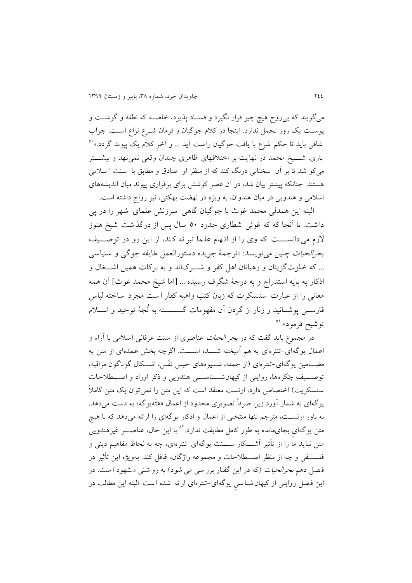می گويند که بی روح هیچ چیز قرار نگیرد و فسـاد پذيرد، خاصــه که نطفه و گوشــت و پوست يک روز تحمل ندارد. اينجا در کلام جوگيان و فرمان شــرع نزاع اســت. جواب شافی بايد تا حکم شرع با يافت جوگيان راست اَيد ... و اَخرِ کلام يک پيوند گردد.» `° باری، شــــيخ محمد در نهايت بر اختلافهای ظاهری چندان وقعی نمی نهد و بیشـــتر میکو شد تا بر آن سخنانی درنگ کند که از منظر او صادق و مطابق با سنت ا سلامی هستند. چنانکه پیشتر بیان شد، در آن عصر کوشش برای برقراری پیوند میان انديشههای اسلامی و هندويی در ميان هندوان، به ويژه در نهضت بهکتی، نيز رواج داشته است.

البته اين همدلی محمد غوث با جوگیان گاهی سرزنش علمای شهر را در پی داشت. تا آنجا که که غو ی شیاری حدود 29 سال پس از درگذشت شیخ هنوز لازم می دانسست که وی را از اتهام علما تبر ئه کند، از این رو در توصـــیف بحرالحیات چنین مینويسد: »ترجمۀ جريده دستورالعمل طايقه جوگی و سنیاسی ... که خلوتگزينان و رهبانان اهل کفر و شـوکاند و به برکات همین اشـــغال و اذکار به پايه استدراج و به درجۀ شگرف رسيده ... [اما شيخ محمد غوث] آن همه معانی را از عبارت سن سکرت که زبان کتب واهیه کقار ا ست مجرد ساخته لباس فارســی پوشــانید و زنار از گردن آن مفهومات گســســته به لُجهٔ توحید و اســلام توشیح فرمود». <sup>٥١</sup>

در مجموع بايد گفت که در *بحر الحيات ع*ناصری از سنت عرفانی اسلامی با آراء و اعمال يوگهای-تنترهای به هم آميخته شــــده اســــت. اگرچه بخش عمدهای از متن به مضـــامین يوگهای-تنترهای (از جمله، شـــیوههای حبس نفَس، اشـــکال گوناگون مراقبه، توصـــيف چکرهها، روايتی از کیهانشـــناســـی هندويی و ذکر اوراد و اصـــطلاحات سنسکريت) اختصاص دارد، ارنست معتقد است که اين متن را نمی توان يک متن کاملاً يوگهای به شمار آورد زيرا صرفاً تصويری محدود از اعمال «هَتَهيوگه» به دست می۵هد. به باور ارنسات، مترجم تنها منتخبی از اعمال و ادکار يوگهای را ارائه میدهد که با هیچ متن یوگهای بجایمانده به طور کامل مطابقت ندارد.<sup>۵۲</sup> با این حال، عناصــــر غیرهندویی متن نبايد ما را از تأثير آشـــكار ســــنت يوگهای-تنترهای، چه به لحاظ مفاهیم دينی و فلســفی و چه از منظر اصـــطلاحات و مجموعه واژگان، غافل کند. بهويژه اين تأثير در فصل دهم *بحرالحیات (که در اين گفتار برر سی می شود) به رو شنی مشهود ا ست. در* اين فصل روايتی از کیهان شناسی يوگه ای-تنترهای ارائه شده است. البته اين میالب در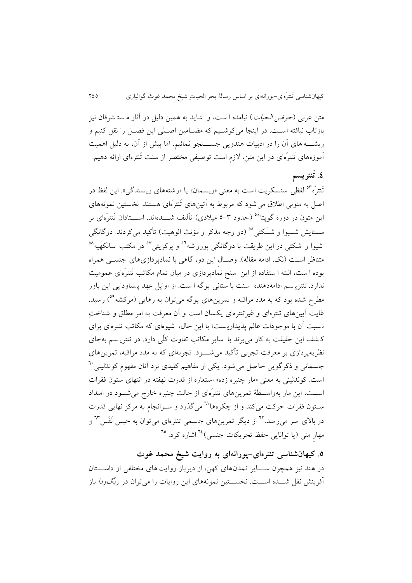متن عرب*ی (حوض الحیات*) نیامده ا ست، و شاید به همین دلیل در آثار مستشرقان نیز بازتاب نیافته است. در اينجا میکوشـيم که مضـامین اصـلی اين فصـل را نقل کنیم و ريشــــه های آن را در ادبيات هندويی جســـتجو نمائيم. اما پيش از آن، به دليل اهميت آموزههای تَنترَهای در این متن، لازم است توصیفی مختصر از سنت تَنترَهای ارائه دهیم.

**4 . ت نتریسم** تَنترَه<sup>َ ٥٣</sup> لفظی سنسکريت است به معنی «ريسمان» يا «رشتههای ريسندگی». اين لفظ در اصل به متونی اطلاق می شود که مربوط به آئینهای تَنترَهای هستند. نخستین نمونههای این متون در دورۀ گویتا<sup>06</sup> (حدود ٣-٥ میلادی) تألیف شــــدهاند. اســــتادان تَنترَهای بر ســتايش شــيوا و شــَکتي°° (دو وجه مذکر و مؤنث الوهيت) تأکيد ميکردند. دوگانگي شیوا و شکتی در این طریقت با دوگانگی پورو شه<sup>۵۲</sup> و پرکریتی<sup>0۷</sup> در مکتب سانکهیه<sup>۵۸</sup> متناظر است (نک. ادامه مقاله). وصـال اين دو، گاهی با نمادپردازیهای جنســی همراه بوده ا ست، البته ا ستفاده از این ًسنخ نمادپردازی در میان تمام مکاتب تَنترَهای عمومیت ندارد. تنتري سم ادامه دهندۀ سنت با ستانی يوگه ا ست. از اوايل عهد پ ساودايی اين باور مطرح شده بود که به مدد مراقبه و تمرين های يوگه می توان به رهايی (موکشه<sup>٥٩</sup>) رسيد. غايت آيينهای تنترهای و غيرتنترهای يکسان است و آن معرفت به امر مطلق و شناختِ ن سبت آن با موجودات عالم پديداري ست با اين حال، شیوه ای که مکاتب تنترهای برای ک شف اين حقیقت به کار می برند با ساير مکاتب تقاوت کل ی دارد. در تنتري سم به جای نظريه پردازی بر معرفت تجربی تأکيد می شــــود. تجربهای که به مدد مراقبه، تمرين های جسمانی و ذکرگویی حاصل می شود. یکی از مفاهیم کلیدی نزد آنان مفهوم کوندالینی <sup>۲۰</sup> است. کوند لینی به معنی «مار چنبره زده» استعاره از قدرت نهفته در انتهای ستون فقرات اســت، اين مار بهواســطۀ تمرين&ای تَنترَهای از حالت چنبره خارج میشــود در امتداد سـتون فقرات حرکت میکند و از چکرهها<sup>٦١</sup> میگذرد و سـرانجام به مرکز نهايی قدرت در بالای سر میر سد.<sup>٦٢</sup> از دیگر تمرینهای جسمی تنترهای میتوان به حبس نَفَس ٦<sup>٣</sup> و مهارِ منی (يا توانايی حفظ تحريکات جنسی)<sup>، ۱</sup> اشاره کرد. <sup>٦٥</sup>

**.5 کیهانشناسی تنترهای-پورانهای به روایت شیخ محمد غوث** در هند نیز همچون ســـایر تمدن های کهن، از ديرباز روايت های مختلفی از داســـتان آفرينش نقل شــــده اســــت. نخســــتین نمونههای اين روايات را میٍ توان در *ريگودا* باز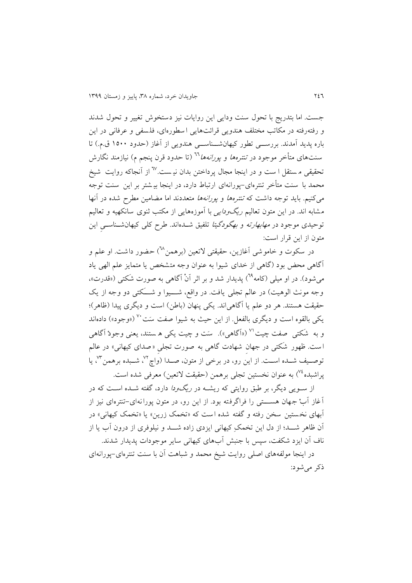جست. اما بتدريج با تحول سنت ودايی اين روايات نيز دستخوش تغيير و تحول شدند و رفتهرفته در مکاتب مختلف هندويی قرائتهايی ا سیوره ای، فل سقی و عرفانی در اين باره پديد آمدند. بررســـی تطور کیهانشـــناســـی هندويی از آغاز (حدود ١٥٠٠ ق.م.) تا سنتهای متأخر موجود در *تنترهها و پورانهها*<sup>7۲</sup> (تا حدود قرن پنجم م) نیازمند نگارش تحقیقی مستقل ا ست و در اینجا مجال پرداختن بدان نیست.<sup>7۷</sup> از آنجاکه روایت شیخ محمد با سنت متأخر تنترهای-پورانهای ارتباط دارد، در اينجا بيشتر بر اين سنت توجه میکنیم. باید توجه داشت که *تنترهها و پورانهها* متعددند اما مضامین مطرح شده در آنها مشابه اند. در اين متون تعاليم *ريگ ودايی* با آموزههايی از مکتب ثنوی سانکهيه و تعاليم نوحیدی موجود در *مهابهارته و بهگودگیتا* تلفیق شــدهاند. طرح کلی کیهانشــناســـیِ این متون از اين قرار است:

در سکوت و خاموشی آغازين، حقيقتی لاتعین (برهمن<sup>7</sup>) حضور داشت. او علم و آگاهی محض بود )گاهی از خدای شیوا به عنوان وجه متشخص يا متمايز علم الهی ياد میشود). در او میلی (کامه<sup>٦٩</sup>) پدیدار شد و بر اثر اَنْ اگاهی به صورت شَکتی («قدرت»، وجه مونث الوهیت) در عالم تجلی یافت. در واقع، شـــیوا و شـــَکتی دو وجه از یک حقیقت هستند. هر دو علم یا آگاهی اند. یکی پنهان (باطن) است و دیگری پیدا (ظاهر)؛ یکی بالقوه است و دیگری بالفعل. از این حیث به شیوا صفت سَت<sup>۷۰</sup> («وجود») دادهاند و به شکتی صفت چیت<sup>۷۱</sup> («اَگاهی»). سَت و چیت یکی ه ستند، یعنی وجودْ اَگاهی ا ست. ظهور شکتی در جهان شهادت گاهی به صورت تجلی «صدای کیهانی» در عالم توصـيف شــده اســت. از اين رو، در برخي از متون، صــدا (واچ٣٪ شــبده برهمن٣٪ يا پراشبده<sup>۷۶</sup>) به عنوان نخستین تجلی برهمن (حقیقت لاتعین) معرفی شده است.

از سـويی ديگر، بر طبق روايتی که ريشــه در *ريگودا* دارد، گفته شــده اسـت که در آغاز آبْ جهان هســــتی را فراگرفته بود. از این رو، در متون پورانهای-تنترهای نیز از آبهای نخ ستین سخن رفته و گقته شده ا ست که »تخم زرين« يا »تخم کیهانی« در آن ظاهر شـــد؛ از دل اين تخمک کیهانی ايزدی زاده شـــد و نیلوفری از درون آب يا از ناف آن ايزد شکقت، سپس با جنبش آبهای کیهانی ساير موجودات پديدار شدند.

در اينجا مولقههای اصلی روايت شیخ محمد و شباهت آن با سنت تنترهای-پورانهای دکر میشود: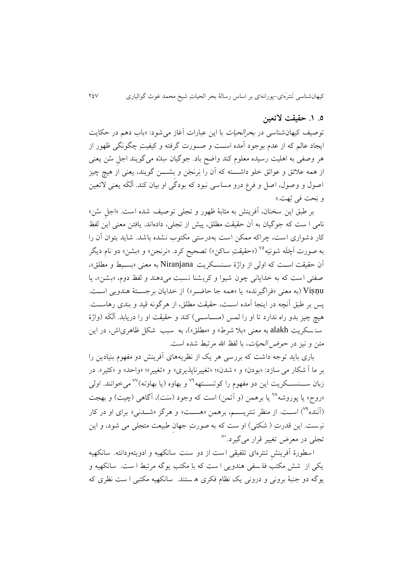# **.5 .9 حقیقت التعین**

توصیف کیهان شناسی در بحرالحیات با اين عبارات آغاز میشود: »باب دهم در حکايت ایجاد عالم که از عدم بوجود آمده اسـت و صـورت گرفته و کیفیتِ چگونگی ظهور از هر وصفی به اهلیت رسیده معلوم کند واضح باد. جوگیان سِدّه می گویند اجل سُن یعنی از همه علائق و عوائق خلو داشــــته که آن را نِرنجَن و بشــــن گويند، يعنی از هيچ چيز اصول و وصول، اصل و فرع درو مساسی نبود که بودگی او بیان کند. آلکَه یعنی لاتعین و بَحت في بُهت.»

بر طبق اين سخنان، آفرينش به مثابۀ ظهور و تجلي توصيف شده است. «اجل سُن» نامی ا ست که جوگیان به آن حقیقت میلق، پیش از تجلی، دادهاند. يافتن معنی اين لقظ کار دشواری است، چراکه ممکن است به درستی مکتوب نشده باشد. شايد بتوان آن را به صورت اَچَلَه شونيَه°<sup>۷</sup> («حقيقتِ ساکن») تصحيح کرد. «نرنجن» و «بشن» دو نام ديگر آن حقیقت است که اولی از واژۀ سـنسـکريت Niranjana به معنی «بسـيط و مطلق»، صقتی است که به خدايانی چون شیوا و کريشنا نسبت می دهند و لقظ دو ، »بشن «، يا Viṣṇu( به معنی »فراگیرنده« يا »همه جا حاضار«( از خدايان برجساتۀ هندويی اسات. پس بر طبق آنچه در اینجا آمده اسـت، حقیقت مطلق، از هرگونه قید و بندی رهاسـت. هیچ چیز بدو راه ندارد تا او را لمس (مســاســی) کند و حقیقت او را دریابد. اَلَکَه (واژهٔ سنه سکريت alakh به معنى «بلا شرط» و «مطلق»)، به سبب شکل ظاهری اش، در اين متن و نیز در *حوض الحیات*، با لفظ الله مرتبط شده است.

باری بايد توجه داشت که بررسی هر يک از نظريههای آفرينش دو مفهوم بنيادين را بر ما آ شکار می سازد: «بودن» و « شدن»؛ «تغییرناپذیری» و «تغییر»؛ «واحد» و «کثیر». در زبان ســـنســـکريت اين دو مفهوم را کوتســـتهه<sup>٧٦</sup> و بهاوه (يا بهاونه)<sup>٧٧</sup> ميخوانند. اولي <sub>ا</sub>روح» يا پوروشه<sup>٧٨</sup> يا برهمن (و اّتمن) است که وجود (سَت)، آگاهی (چيت) و بهجت (آنَنده<sup>۷۹</sup>) است. از منظر تنتريسـم، برهمن «هسـت» و هرگز «شـدنی» برای او در کار نیست. این قدرتِ ( شَکتی) او ست که به صورتِ جهان طبیعت متجلی می شود، و این تجلی در معرض تغییر قرار میگیرد.<sup>۸۰</sup>

 ا سیورۀ آفرينش تنتره ای تلقیقی ا ست از دو سنت سانکهیه و ادويته ودانته. سانکهیه يکی از شش مکتب فل سقی هندويی ا ست که با مکتب يوگه مرتبط ا ست. سانکهیه و يوگه دو جنبۀ برونی و درونی يک نظام فکری ه ستند. سانکهيه مکتبی ا ست نظری که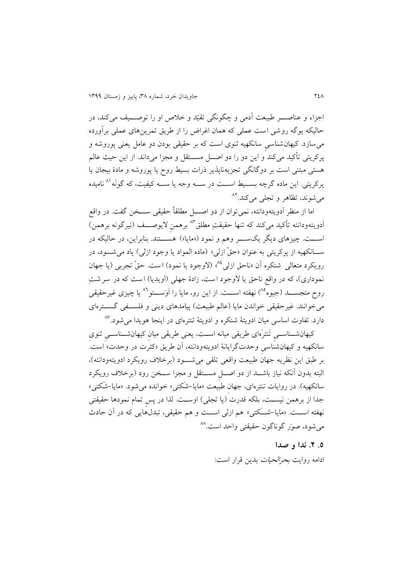اجزاء و عناصـــر طبیعت آدمی و چگونگی تقیّد و خلاص او را توصـــف می کند، در حالیکه يوگه روشی است عملی که همان اغراض را از طريق تمرين های عملی برآورده میسازد. کیهان شناسی سانکهیه نوی است که بر حقیقی بودن دو عامل يعنی پوروشه و پرکريتی تأکيد میکند و اين دو را دو اصـــل مســـتقل و مجزا میداند. از اين حيث عالم هستی مبتنی است بر دوگانگی تجزيهناپذير درات بسیط روب يا پوروشه و مادۀ بیجان يا پرکريتی. اين ماده گرچه بســـيط اســـت در ســــه وجه يا ســــه کیفیت، که گونَه<sup>٨١</sup> ناميده میشوند، تظاهر و تجل<sub>ی</sub> میکند.<sup>۸۲</sup>

اما از منظر اَدويتهودانته، نمی توان از دو اصــــل مطلقاً حقیقی ســــخن گفت. در واقع أدويتهودانته تأكيد مى كند كه تنها حقيقتِ مطلق<sup>٨٣</sup> برهمن لايوصـــف (نيرگونه برهمن) اســـت. چیزهای دیگر یکســــر وهم و نمود («مایا») هســـتند. بنابراین، در حالیکه در ســانکهيه از پرکريتي به عنوان «حقّ ازلي» (ماده المواد يا وجود ازلي) ياد مي شـــود، در رويکرد متعالی شنکره آن «ناحق ازلی<sup>، ۸</sup>ُ» (لاوجود يا نمود) است. حقّ تجربی (يا جهان نموداری)، که در واقع ناحق يا لاوجود است، زادۀ جهلی (اَويديا) است که در سر شتِ روح متجســــد (جیوه<sup>٨٥</sup>) نهفته اســـت. از این رو، مایا را اَوَســــتو<sup>٨٦</sup> یا چیزی غیرحقیقی می خوانند. غیر حقیقی خواندن مایا (عالم طبیعت) پیامدهای دینی و فلســفی گســترهای دارد. تفاوت اساسی میان ادویتۀ شنکره و ادویتۀ تنترهای در اینجا هویدا میشود.<sup>۸۷</sup>

کیهان شسناسسی تَنترَهای طریقی میانه اسـت، یعنی طریقی میان کیهان شسناسسی ثنوی سانکهیه و کیهان شناسی وحدت گرايانۀ ادويتهودانته، آن طريق »کثرت در وحدت« است. بر طبق اين نظريه جهان طبيعت واقعی تلقی می شـــود (برخلاف رويکرد ادويتهودانته)، البته بدون آنکه نیاز باشــد از دو اصـــل مســـتقل و مجزا ســخن رود (برخلاف رويکرد سانکهیه). در روايات تنترهای، جهان طبيعت «مايا-شکتی» خوانده می شود. «مايا-شکتی» جدا از برهمن نیسـت، بلکه قدرت (یا تجلی) اوسـت. لذا در پس تمام نمودها حقیقتی نهفته اســـت. «مايا-شــَکتی» هم ازلی اســـت و هم حقیقی، تبدل@ايی که در آن حادث میشود، صور گوناگون حقیقتی واحد است.^^

#### **.5 .1 ندا و صدا**

ادامه روايت بحرالحیات بدين قرار است: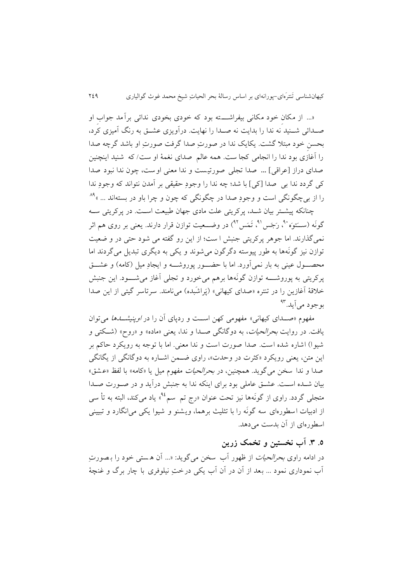»... از مکان خود مکانی بیقراشاااته بود که خودی بخودی ندائی برآمد جواب او صـدائی شــنید نه ندا را بدايت نه صـدا را نهايت. درآويزی عشــق به رنگ آميزی کرد، ِ ِ بحسن خود مبتی گشت. يکاي ندا در صورت صدا گرفت صورت او باشد گرچه صدا را آغازی بود ندا را انجامی کجا ست. همه عالم صدای نغمۀ او ست/ که شنید اینچنین صدای دراز ]عراقی[ **...** صدا تجلی صورتیست و ندا معنی اوست، چون ندا نبود صدا کی گردد ندا بی صدا [کی] با شد؛ چه ندا را وجود حقیقی بر آمدن نتواند که وجود ندا را از بیچگونگی است و وجودِ صدا در چگونگی که چون و چرا باو در بستهاند ... »<sup>۸۹</sup>

چنانکه پیشاتر بیان شاد، پرکريتی علت مادی جهان طبیعت اسات. در پرکريتی ساه گونَه (ســَتوَه ``، رَجَس'`، تَمَس'`) در وضـــعيت توازن قرار دارند. يعنی بر روی هم اثر نمیگذارند. اما جوهر پرکريتی جنبش ا ست از اين رو گقته می شود حتی در و ضعیت توازن نیز گونّهها به طور پیوسته دگرگون میشوند و یکی به دیگری تبدیل میگردند اما محصـــول عینی به بار نمی اَورد. اما با حضـــور پوروشــــه و ایجادِ میل (کامه) و عشـــق پرکريتی به پوروشــــه توازن گونَهها برهم می خورد و تجلی آغاز می شــــود. اين جنبش خلاقۀ آغازين را در تنتره «صدای کیهانی» (پَراشَبِده) می نامند. سرتاسر گیتی از این صدا بوجود می اًيد.<sup>۹۳</sup>

مفهوم «صـدای کیهانی» مفهومی کهن اسـت و ردپای آن را در *اوپنیشـــدها* میتوان يافت. در روايت *بحرالحيات*، به دوگانگی صــدا و ندا، يعنی «ماده» و «روح» (شــکتی و شیوا) اشاره شده است. صدا صورت است و ندا معنی. اما با توجه به رویکرد حاکم بر اين متن، يعنی رويکرد «کثرت در وحدت»، راوی ضـمن اشــاره به دوگانگی از يگانگی صدا و ندا سخن می گوید. همچنین، در *بحرالحیات مفه*وم میل یا «کامه» با لفظ «عشق» بیان شــده اســت. عشــق عاملی بود برای اینکه ندا به جنبش درآید و در صــورت صــدا متجلی گردد. راوی از گونَهها نیز تحت عنوان «رج تم سم<sup>48</sup>» یاد میکند، البته به تأ سی از ادبیات اسطورهای سه گونَه را با تثلیث برهما، ویشنو و شیوا یکی می انگارد و تبیینی اسیورهای از آن بدست میدهد.

# **.5 .8 آب نخستین و تخمک زرین**

در ادامه راوی *بحرالحیات* از ظهور آب سخن می گوید: «... اَن هستی خود را بـصورتِ ِ آب نموداری نمود ... بعد از آن در آن آب يکی درخت نیلوفری با چار برگ و غنچۀ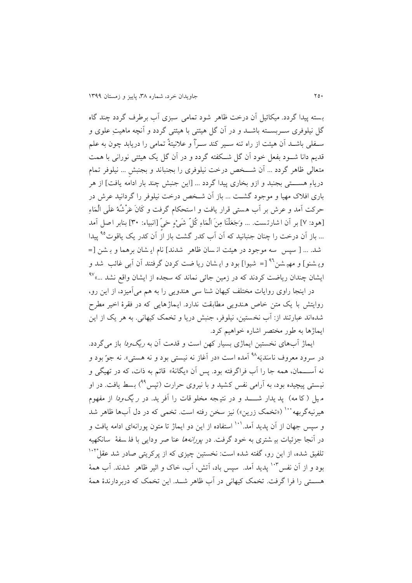بسته پیدا گردد. میکائیل آن درخت ظاهر شود تمامی سبزی آب برطرف گردد چند گاه گل نیلوفری ســربســته باشـــد و در آن گل هیئتی با هیئتی گردد و آنچه ماهیتِ علوی و سـفلی باشــد آن هیئت از راه تنه ســیر کند ســراً و علانیتۀ تمامی را دریابد چون به علم قديم دانا شـود بفعل خود آن گل شـكفته گردد و در آن گل يک هيئتی نورانی با همت متعالی ظاهر گردد ... آن شـــخص درخت نیلوفری را بجنباند و بجنبش ... نیلوفر تمام درياءِ هســــتی بجنبد و ازو بخاری پيدا گردد ... [اين جنبش چند بار ادامه يافت] از هر باری افیک مهیا و موجود گشات ... باز آن شاخص درخت نیلوفر را گردانید عرش در حرکت آمد و عرش بر آب هستی قرار یافت و استحکام گرفت و کَانَ عَرْشُهُ عَلَی الْمَاءِ [هود: ٧] بر آن ا شارتست. ... وَجَعَلْنَا مِنَ الْمَاءِ كُلِّ شَيْءٍ حَيِّ [انبياء: ٣٠] بنابر اصل آمد <u>... باز آن درخت را چنان جنبانی</u>د که آن آب کدر گشت باز از آن کدر یک یاقوت<sup>۹۵</sup> پیدا شد. ... [ سپس سه موجود در هیئت ان سان ظاهر ً شدند] نام ايـشان برهما و بـشن [= ويـشنو] و مهيـشن<sup>٩٦</sup> [= شيوا] بود و ايـشان ريا ضت کردن گرفتند آن آبی غائب شد و يشان چندان رياضت کردند که در زمين جائ*ی* نماند که سجده از ايشان واقع نشد ...»<sup>۹۷</sup>

در اينجا راوی روايات مختلف کیهان شنا سی هندويی را به هم میآمیزد، از اين رو، روايتش با يک متن خاص هندويی مطابقت ندارد. ايماژهايی که در فقرۀ اخير مطرح شدهاند عبارتند از: آب نخستین، نیلوفر، جنبش دریا و تخمک کیهانی. به هر یک از این ايماژها به طور مختصر اشاره خواهيم کرد.

ايماژ آبهای نخستین ايماژی بسیار کهن است و قدمت آن به *ريگودا* باز میگردد. در سرود معروف ناسدیَه<sup>۹۸</sup> آمده است «در آغاز نه نیستی بود و نه هستی». نه جو ّبود و نه آســـمان، همه جا را آب فراگرفته بود. پس آن «يگانۀ» قائم به ذات، که در تهيگي و نیستی پیچیده بود، به آرامی نفس کشید و با نیروی حرارت (تیس<sup>۹۹</sup>) بسط یافت. در او م یل (کا مه) پد يدار شــــد و در نتیـجه مخلو قات را آفر يد. در *ر يگودا* از مفهوم هیرنیهگربهه <sup>۱۰۰</sup> («تخمک زرین») نیز سخن رفته است. تخمی که در دل آبها ظاهر شد و سپس جهان از آن پديد آمد.'`` استفاده از اين دو ايماژ تا متون پورانهای ادامه يافت و در آنجا جزئیات بی شتری به خود گرفت. در پورانهها عنا صر ودايی با فل سقۀ سانکهیه نلفیق شده، از این رو، گفته شده است: نخستین چیزی که از پرکریتی صادر شد عقل<sup>۱۰۲</sup> بود و از آن نفس ۱۰۳ پدید آمد. سپس باد، آتش، آب، خاک و اثیر ظاهر شدند. آب همۀ هســتی را فرا گرفت. تخمک کیهانی در آب ظاهر شــد. اين تخمک که دربردارندۀ همۀ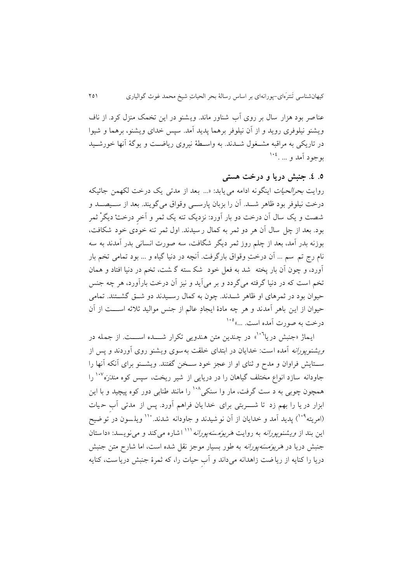عنا صر بود هزار سال بر روی آب شناور ماند. وي شنو در اين تخم منزل کرد. از ناف ويشنو نیلوفری رويد و از آن نیلوفر برهما پديد آمد. سپس خدای ويشنو، برهما و شیوا در تاريکي به مراقبه مشــغول شــدند. به واســطۀ نيروی رياضــت و يوگۀ آنها خورشــيد بوجود آمد و ... .<sup>۱۰</sup><sup>2</sup>

## **.5 .4 جنبش دریا و درخت هستی**

روايت *بحرالحيات* اينگونه ادامه می يابد: «... بعد از مدتی يک درخت لکهمن جائيکه درخت نیلوفر بود ظاهر شــد. آن را بزبان پارســـی وقواق می گویند. بعد از ســیصــد و شصت و يک سال آن درخت دو بار آورد: نزديک تنه يک ثمر و آخر درختْ ديگرْ ثمر بود. بعد از چل سال آن هر دو مر به کمال ر سیدند. اول مر تنه خودی خود شکافت، بوزنه بدر آمد، بعد از چلم روز مر ديگر شگافت، سه صورت انسانی بدر آمدند به سه نام رج تم سم ... اَن درخت وقواق بارگرفت. آنچه در دنیا گیاه و ... بود تمامی تخم بار آورد، و چون آن بار پخته شد به فعل خود شک سته گ شت، تخم در دنیا افتاد و همان تخم است که در دنیا گرفته می گردد و بر میآيد و نیز آن درخت بارآورد، هر چه جنس حیوان بود در ثمرهای او ظاهر شــدند. چون به کمال رســیدند دو شــق گشــتند. تمامی حیوان از این باهر آمدند و هر چه مادۀ ایجادِ عالم از جنس موالید ثلاثه اســـت از آن درخت به صورت آمده است. ...»<sup>۱۰۵</sup>

ايماژ «جنبش دريا<sup>۱۰</sup>" در چندين متن هندويي تكرار شـــده اســـت. از جمله در ويشنوپورانه آمده است: خدايان در ابتدای خلقت به سوی ويشنو روی آوردند و پس از سـتايش فراوان و مدح و ثنای او از عجز خود سـخن گفتند. ويشــنو برای آنکه آنها را جاودانه سازد انواع مختلف گیاهان را در دریایی از شیر ریخت، سپس کوه مندَرَه<sup>۱۰۷</sup> را همچون چوبی به د ست گرفت، مار وا سنکی<sup>۱۰۸</sup> را مانند طنابی دور کوه پیچید و با این ابزار در يا را بهم زد تا شـــــربتی برای خدا يان فراهم آورد. پس از مدتی آب حيات (امريته<sup>۱۰۹</sup>) پديد آمد و خدايان از آن نو شيدند و جاودانه شدند.<sup>.۱۱</sup> ويل<sub>ا</sub>سون در تو ضيح اين بند از *ويشنويورانه* به روايت *هريوَمسَهيورانه* <sup>۱۱۱</sup> اشاره مي کند و مي نويسد: «داستان جنبش دريا در هَ*ريوَمسَه پورانه* به طور بسيار موجز نقل شده است، اما شارح متن جنبش دريا را کنايه از ريا ضت زاهدانه می داند و آب حیات را، که مرۀ جنبش دريا ست، کنايه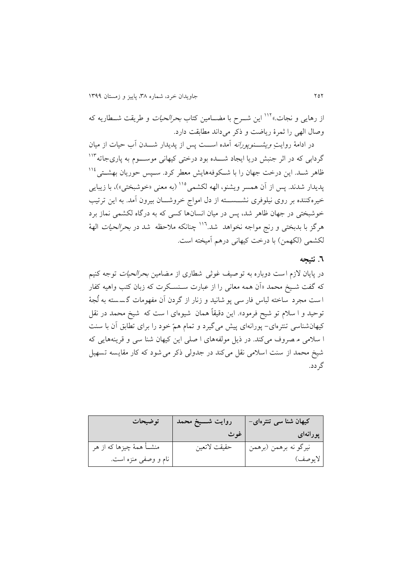از رهايي و نجات.»<sup>۱۱۲</sup> اين شــرح با مضــامين کتاب *بحرالحيات* و طريقت شــطاريه که وصال الهی را ثمرۀ رياضت و ذكر می داند مطابقت دارد.

در ادامۀ روايتِ *ويشـــنوپورانه* آمده اســـت پس از پديدار شـــدن آب حيات از ميان گردابی که در اثر جنبش دریا ایجاد شــــده بود درختی کیهانی موســــوم به پاریجاته<sup>۱۱۳</sup> ظاهر شــد. اين درخت جهان را با شــکوفههايش معطر کرد. ســپس حوريان بهشــتی $^{112}$ پدیدار شدند. پس از آن همسر ویشنو، الهه لکشمی<sup>۱۱۰</sup> (به معنی «خوشبختی»)، با زیبایی خیرهکننده بر روی نیلوفری نشـــســـته از دل امواج خروشـــان بیرون آمد. به این ترتیب خوشبختی در جهان ظاهر شد، پس در میان انسان ها کسی که به درگاه لکشمی نماز برد هرگز با بدبختی و رنج مواجه نخواهد شد.<sup>۱۱۲</sup> چنانکه ملاحظه شد در *بحرالحیات* الهۀ لکشمی (لکهمن) با درخت کیهانی درهم آمیخته است.

### **.6 نتیجه**

در پایان لازم است دوباره به توصیف غوثی شطاری از مضامین *بحرالحیات* توجه کنیم که گفت شـیخ محمد «آن همه معانی را از عبارت سـنسـکرت که زبان کتب واهیه کفار ا ست مجرد ساخته لباس فار سی پو شانید و زنار از گردن آن مفهومات گسسته به لُجهٔ توحید و ا سلام تو شیح فرمود». این دقیقاً همان شیوهای ا ست که شیخ محمد در نقل کیهان شناسی تنترهای- پورانهای پیش می گیرد و تمام همّ خود را برای تطابق آن با سنت ا سیمی م صروف می کند. در ديل مولقههای ا صلی اين کیهان شنا سی و قرينه هايی که شیخ محمد از سنت اسلامی نقل می کند در جدولی ذکر می شود که کار مقایسه تسهیل گردد.

| توضيحات                    | روايت شــــيغ محمد ً | کیهان شنا سی تنترهای- |
|----------------------------|----------------------|-----------------------|
|                            | غوث                  | پورانهای است.         |
| منشــأ همهٔ چیزها که از هر | حقيقت لاتعين         | نيرگو نه برهمن (برهمن |
| نام و وصفى منزه است.       |                      | لايوصف)               |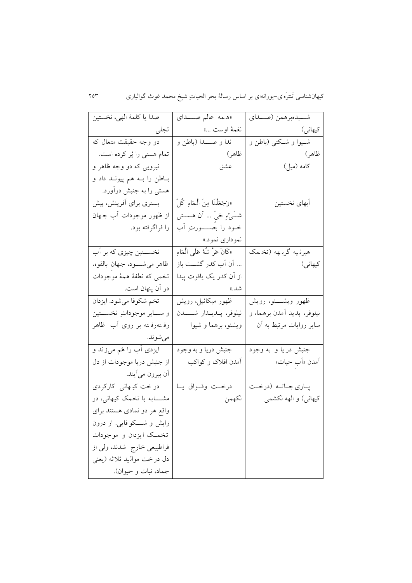| صدا يا كلمهٔ الهي، نخستين      | «همه عالم صــــدای               | شـــبدهبرهمن (صـــداي      |
|--------------------------------|----------------------------------|----------------------------|
| تجلى                           | نغمهٔ اوست …»                    | کیهانی)                    |
| دو وجه حقیقت متعال که          | ندا و صـــــــدا (باطن و         | شــيوا و شــكتـي (باطن و   |
| تمام هستی را پُر کرده است.     | ظاهر)                            | ظاهر)                      |
| نیرویی که دو وجه ظاهر و        | عشق                              | کامه (میل)                 |
| بـاطن را بــه هم پيونــد داد و |                                  |                            |
| هستی را به جنبش درآورد.        |                                  |                            |
| بستری برای أفرینش، پیش         | «وَجَعَلْنَا مِنَ الْمَاءِ كُلِّ | آبهای نخستین               |
| از ظهور موجودات أب جـهان       | شــَـیْءِ حَـیّ … اَن هســـتـی   |                            |
| را فراگرفته بود.               | خــود را بصـــــــورتِ آب        |                            |
|                                | نموداري نمود.»                   |                            |
| نخســـتين چيزي كه بر اَب       | «كَانَ عَرْ شُهُ عَلَى الْمَاءِ  | هیرنایه گرباهه (تخامک      |
| ظاهر مىشــــود، جـهان بالقوه،  | أن أب كدر گشــت باز              | کیهانی)                    |
| تخمي كه نطفهٔ همهٔ موجودات     | از اُن کدر یک یاقوت پیدا         |                            |
| در آن پنهان است.               | شد.»                             |                            |
| تخم شكوفا ميشود. ايزدان        | ظهور میکائیل، رویش               | ظهور ويشــــنو، رويش       |
| و ســـاير موجوداتِ نخســـتين   | نيلوفر، پــديــدار شــــــــدن   | نيلوفر، پديد أمدن برهما، و |
| رفستەرفستە بر روى أب ظاھر      | ویشنو، برهما و شیوا              | سایر روایات مرتبط به آن    |
| مىشوند.                        |                                  |                            |
| ایزدی أب را هَم میزند و        | جنبش دريا و به وجود              | جنبش در یا و به وجود       |
| از جنبش دریا موجودات از دل     | آمدن افلاک و کواکب               | آمدن «اَب حيات»            |
| أن بيرون ميأيند.               |                                  |                            |
| در خت کیـهانی کارکردی          | درخــت وقــواق يــا              | پاري جاتـه (درخـت          |
| مشــــابه با تخمک کیهانی، در   | لكهمن                            | کیهانی) و الهه لکشمی       |
| واقع هر دو نمادی هستند برای    |                                  |                            |
| زایش و شـــکوفایی. از درون     |                                  |                            |
| تخمــک ایزدان و موجودات        |                                  |                            |
| فراطبیعی خارج شدند، ولی از     |                                  |                            |
| دل درخت مواليد ثلاثه (يعني     |                                  |                            |
| جماد، نبات و حيوان).           |                                  |                            |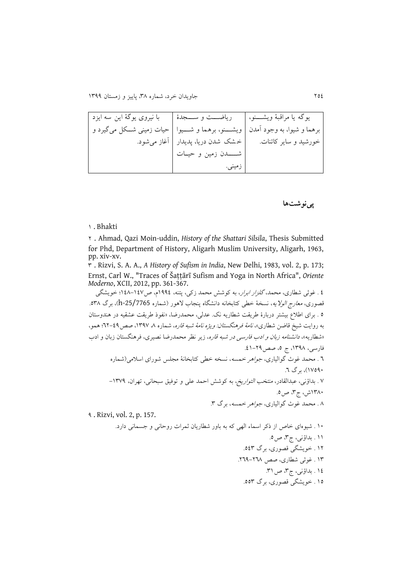يوگه يا مراقب ۀ ويشااانو، برهما و شیوا، به وجود آمدن خورشید و ساير کائنات. رياضااات و ساااجدۀ ويشااانو، برهما و شااایوا خ ش شدن دريا، پديدار شاااادن زمین و حیاات زمینی. با نیروی يوگۀ اين سه ايزد حیات زمینی شااکل میگیرد و آغاز میشود.

### **پینوشتها**

#### 9 . Bhakti

2 . Ahmad, Qazi Moin-uddin, *History of the Shattari Silsila*, Thesis Submitted for Phd, Department of History, Aligarh Muslim University, Aligarh, 1963, pp. xiv-xv.

3 . Rizvi, S. A. A., *A History of Sufism in India*, New Delhi, 1983, vol. 2, p. 173; Ernst, Carl W., "Traces of Šaṭṭārī Sufism and Yoga in North Africa", *Oriente Moderno*, XCII, 2012, pp. 361-367.

2 . غوثی شطاری، محمد، *گلزار ابرار*، به کوشش محمد زکی، پتنه، ۱۹۹٤م، ص۱٤۷–۱٤۸؛ خويشگی قصوری، *معارج الولایه*، نسخۀ خطی کتابخانه دانشگاه پنجاب لاهور (شماره 25/7765-h)، برگ .<sup>0</sup>۳۸ ٥ . برای اطلاع بیشتر دربارۀ طريقت شطاريه نک. عدلی، محمدرضا، «نفوذ طريقت عشقيه در هندوستان به روايت شيخ قاضن شطاري»، *نامۀ فرهنگستان: ويژه نامۀ شبه قاره*، شماره ۸ ۱۳۹۷، صص<sup>2</sup>3-۲۲؛ همو، «شطاريه»، *دانشنامه زبان و ادب فارسی در شبه قاره*، زير نظر محمدرضا نصيری، فرهنگستان زبان و ادب فارسی، ۱۳۹۸، ج ۵، صص ۲۹-۶۱. 2 . محمد غوث گوالیاری، جواهر خمسه، نسخه خیی کتابخانۀ مجلس شورای اسیمی)شماره 97219(، برگ .2 7 . بداؤنی، عبدالقادر، منتخب التواريخ، به کوشش احمد علی و توفیق سبحانی، تهران، -9371 9339ش، ر،3 ص.2 3 . محمد غوث گوالیاری، جواهر خمسه، برگ .3 1 . Rizvi, vol. 2, p. 157. 99 . شیوهای خاص از دکر اسماء الهی که به باور شیاريان مرات روحانی و جسمانی دارد. ۱۱ . بداؤنی، ج۳، ص0. ۱۲ . خويشگی قصوری، برگ ٥٤٣. 93 . غو ی شیاری، صص .221-223 ١٤ . بداؤنی، ج٣، ص ٣١.

92 . خويشگی قصوری، برگ .223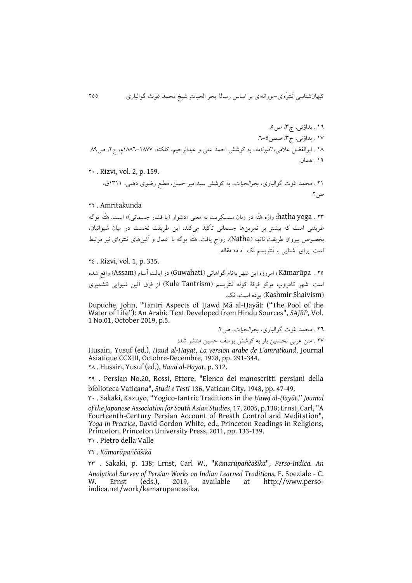92 . بداؤنی، ر،3 ص.2 97 . بداؤنی، ر،3 صص.2-2 93 . ابوالقضل عیمی، اکبرنامه، به کوشش احمد علی و عبدالرحیم، کلکته، 9332-9377 ، ر،2 ص.31 91 . همان.

29 . Rizvi, vol. 2, p. 159.

۲۱ . محمد غوث گوالیاری، *بحرالحیات*، به کوشش سید میر حسن، مطبع رضوی دهلی، ۱۳۱۱ق، ص ٢.

### 22 . Amritakunda

23 . yoga haṭha: وااه هَتَه در زبان سنسکريت به معنی »دشوار )يا فشار جسمانی(« است. هَتَه يوگه طريقتی است که بیشتر بر تمرينها جسمانی تیکید میکند. اين طريقت نخست در میان شیوائیان، بخصوص پیروان طریقت ناتهه (Natha)، رواج یافت. هَتَه یوگه با اعمال و آئینهای تنترهای نیز مرتبط است. برای آشنایی با تَنتَریسم نک. ادامه مقاله.

22 . Rizvi, vol. 1, p. 335.

٢٥ . Kāmarūpa ؛ امروزه اين شهر بهنام گواهاتی (Guwahati) در ايالت آسام (Assam) واقع شده است. شهر کامروپ مرکز فرقۀ کوله تَنتَريسم (Kula Tantrism) از فرق آئين شيوايی کشميری (Kashmir Shaivism) بوده است، نک.

Dupuche, John, "Tantri Aspects of Ḥawd Mā al-Ḥayāt: ("The Pool of the Water of Life"): An Arabic Text Developed from Hindu Sources", *SAJRP*, Vol. 1 No.01, October 2019, p.5.

22 . محمد غوث گوالیاری، بحرالحیات، ص.2

27 . متن عربی نخستین بار به کوشش يوسف حسین منتشر شد:

Husain, Yusuf (ed.), *Haud al-Hayat*, *La version arabe de L'amratkund*, Journal Asiatique CCXIII, Octobre-Decembre, 1928, pp. 291-344. 23 . Husain, Yusuf (ed.), *Haud al-Hayat*, p. 312.

21 . Persian No.20, Rossi, Ettore, "Elenco dei manoscritti persiani della biblioteca Vaticana", *Studi e Testi* 136, Vatican City, 1948, pp. 47-49.

39 . Sakaki, Kazuyo, "Yogico-tantric Traditions in the *Ḥawḍ al-Ḥayāt*," *Joumal of theJapanese Association for South Asian Studies*, 17, 2005, p.138; Ernst, Carl, "A Fourteenth-Century Persian Account of Breath Control and Meditation", *Yoga in Practice*, David Gordon White, ed., Princeton Readings in Religions, Princeton, Princeton University Press, 2011, pp. 133-139.

39 . Pietro della Valle

32 . *Kāmarūpañčāšikā*

33 . Sakaki, p. 138; Ernst, Carl W., "*Kāmarūpañčāšikā*", *Perso-Indica. An Analytical Survey of Persian Works on Indian Learned Traditions*, F. Speziale - C. W. Ernst (eds.), 2019, available at [http://www.perso](http://www.perso-indica.net/work/kamarupancasika)[indica.net/work/kamarupancasika.](http://www.perso-indica.net/work/kamarupancasika)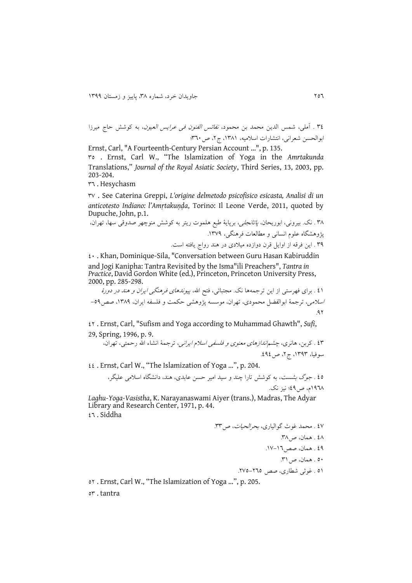32 . آملی، شمس الدين محمد بن محمود، نقائس القنون فی عرايس العیون، به کوشش حار میرزا ابوالحسن شعرانی، انتشارات اسیمیه، ،9339 ر،2 ص329

Ernst, Carl, "A Fourteenth-Century Persian Account …", p. 135. 32 . Ernst, Carl W., "The Islamization of Yoga in the *Amrtakunda*  Translations," *Journal of the Royal Asiatic Society*, Third Series, 13, 2003, pp. 203-204.

32 . Hesychasm

37 . See Caterina Greppi, *L'origine delmetodo psicofisico esicasta, Analisi di un anticotesto Indiano: l'Amṛtakuṇḍa*, Torino: Il Leone Verde, 2011, quoted by Dupuche, John, p.1.

33 . ن . بیرونی، ابوريحان، پاتانجلی، برپايۀ طبع هلموت ريتر به کوشش منوچهر صدوقی سها، تهران، پ وهشگاه علو انسانی و میالعات فرهنگی، .9371 31 . اين فرقه از اوايل قرن دوازده مییدی در هند روار يافته است.

29 . Khan, Dominique-Sila, "Conversation between Guru Hasan Kabiruddin and Jogi Kanipha: Tantra Revisited by the Isma"ili Preachers", *Tantra in Practice*, David Gordon White (ed.), Princeton, Princeton University Press, 2000, pp. 285-298.

29 . برای فهرستی از اين ترجمهها ن . مجتبائی، فتح اهلل، پیوندهای فرهنگی ايران و هند در دورۀ اسیمی، ترجمۀ ابوالقضل محمودی، تهران، موسسه پ وهشی حکمت و فلسقه ايران، ،9331 صص-21 .12

22 . Ernst, Carl, "Sufism and Yoga according to Muhammad Ghawth", *Sufi*, 29, Spring, 1996, p. 9.

23 . کربن، هانری، چشماندازهای معنوی و فلسقی اسی ايرانی، ترجمۀ انشاء اهلل رحمتی، تهران، سوفیا، ۱۳۹۳، ج۲، ص2۹٤.

22 . Ernst, Carl W., "The Islamization of Yoga …", p. 204.

٤٥ . *جوگ بشست*، به کوشش تارا چند و سید امیر حسن عابدی، هند، دانشگاه اسلامی علیگر، ١٩٦٨م، ص4٤٩ نيز نک.

*Laghu-Yoga-Vasistha*, K. Narayanaswami Aiyer (trans.), Madras, The Adyar Library and Research Center, 1971, p. 44. 22 . Siddha

27 . محمد غوث گوالیاری، بحرالحیات، ص.33 23 . همان، ص.33 21 . همان، صص.97-92 29 . همان، ص.39 29 . غو ی شیاری، صص .272-222

22 . Ernst, Carl W., "The Islamization of Yoga …", p. 205.

or.tantra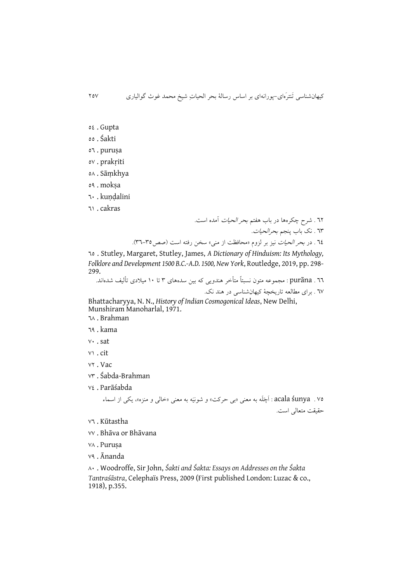- ot.Gupta
- 22 . Śakti
- 22 . puruṣa
- 27 . prakṛiti
- 23 . Sāṃkhya
- 21 . mokṣa
- 29 . kuṇḍalini

29 . cakras

22 . شرب چکرهها در باب هقتم بحر الحیات آمده است. ٦٣ . نک باب پنجم *بحرالحیات*.

72 . در *بحر الحیات* نیز بر لزوم «محافظت از منی» سخن رفته است (صص<sup>70</sup>-٣٦).

22 . Stutley, Margaret, Stutley, James, *A Dictionary of Hinduism: Its Mythology, Folklore and Development 1500 B.C.-A.D. 1500, New York*, Routledge, 2019, pp. 298- 299.

22 . purāna : مجموعه متون نسبتا متیخر هندويی که بین سدههای 3 تا 99 مییدی تیلیف شدهاند. ٦٧ . برای مطالعه تاريخچۀ کیهانشناسی در هند نک.

Bhattacharyya, N. N., *History of Indian Cosmogonical Ideas*, New Delhi, Munshiram Manoharlal, 1971.

23 . Brahman

- 21 . kama
- 79 . sat
- 79 . cit
- vr. Vac
- 73 . Śabda-Brahman
- 72 . Parāśabda

72 . śunya acala : َ َ َ ا چ ل ه به معنی »بی حرکت« و شونیَه به معنی »خالی و منزه«، يکی از اسماء حقیقت متعالی است.

- 72 . Kūtastha
- 77 . Bhāva or Bhāvana
- VA . Purusa
- 71 . Ānanda

39 . Woodroffe, Sir John, *Śakti and Śakta: Essays on Addresses on the Śakta Tantraśāstra*, Celephaïs Press, 2009 (First published London: Luzac & co., 1918), p.355.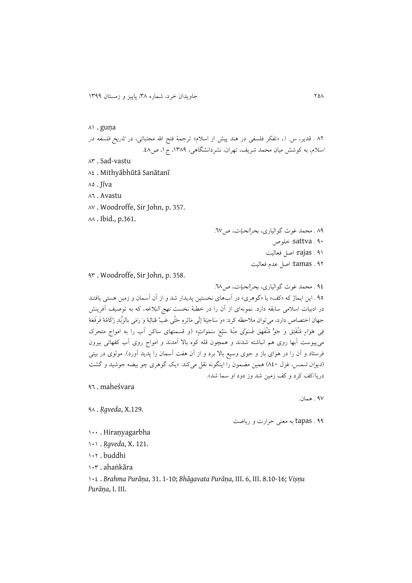#### 39 . guṇa

۸۲ . قدير، س. ا.، «تفکر فلسفی در هند پیش از اسلام» ترجمۀ فتح الله مجتبائی، در ت*اريخ فلسفه در* اسلام، به کوشش میان محمد شريف، تهران، نشردانشگاهی، ١٣٨٩، ج ١، ص٤٨.

- 33 . Sad-vastu
- 32 . Mithyābhūtā Sanātanī
- 32 . Jīva

32 . Avastu

- 37 . Woodroffe, Sir John, p. 357.
- 33 . Ibid., p.361.

 . محمد غوث گوالیاری، بحرالحیات، ص.27 . sattva: خلوص . rajas: اصل فعالیت . tamas: اصل عد فعالیت

13 . Woodroffe, Sir John, p. 358.

12 . محمد غوث گوالیاری، بحرالحیات، ص.23 ۹۵ . اين ايماژ که «کف» يا «گوهري» در آبهای نخستين پديدار شد و از آن آسمان و زمين هستی يافتند در ادبیات اسلامی سابقه دارد. نمونهای از آن را در خطبۀ نخست *نهج البلاغه*، که به توصیف آفرینش جهان اختصاص دارد، می توان ملاحظه کرد: «وَ سَاجِيَهُ إلَى مَائِرهِ حَتَّى عَبَّ عُبَابُهُ وَ رَمَى بِالزُّبَدِ رُكَامُهُ فَرَفَعَهُ فِي هَوَاءِ مُنْفَتِقٍ وَ جَوٍّ مُنْفَهِقٍ فَسَوَّى مِنْهُ سَبْعَ سَمَوَاتِ» (و قسمتهای ساکن آب را به امواج متحرک میپیوست آبها روی هم انباشته شدند و همچون قله کوه باال آمدند و اموار روی آب کقهائی بیرون فرستاد و آن را در هوای باز و جوی وسیع بالا برد و از آن هفت آسمان را پدید آورد). مولوی در بیتی (*ديوان شمس*، غزل ٨٤٠) همين مضمون را اينگونه نقل میکند: «يک گوهری چو بيضه جوشيد و گشت دریا/کف کرد و کف زمین شد وز دود او سما شد».

12 . maheśvara

17 . همان.

11 . tapas به معنی حرارت و رياضت

999 . Hiraṇyagarbha

13 . *Ṛgveda*, X.129.

999 . *Ṛgveda*, X. 121.

992 . buddhi

993 . ahaṅkāra

992 . *Brahma Purāṇa*, 31. 1-10; *Bhāgavata Purāṇa*, III. 6, III. 8.10-16; *Viṣṇu Purāṇa*, I. III.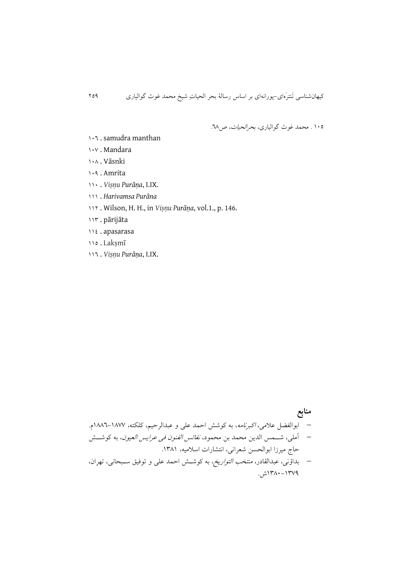992 . محمد غوث گوالیاری، بحرالحیات، ص.23

- . samudra manthan
- . Mandara
- . Vāsnki
- . Amrita
- . *Viṣṇu Purāṇa*, I.IX.
- . *Harivamsa Purāna*
- . Wilson, H. H., in *Viṣṇu Purāṇa*, vol.1., p. 146.
- . pārijāta
- . apasarasa
- . Lakṣmī
- . *Viṣṇu Purāṇa*, I.IX.

 **منابع** ابوالقضل عیمی، اکبرنامه، به کوشش احمد علی و عبدالرحیم، کلکته، 9332-9377 . آملی، شاامس الدين محمد بن محمود، نقائس القنون فی عرايس العیون، به کوشااش حار میرزا ابوالحسن شعرانی، انتشارات اسیمیه، .9339 بداؤنی، عبدالقادر، منتخب التواريخ، به کوشاش احمد علی و توفیق سابحانی، تهران، 9339-9371ش.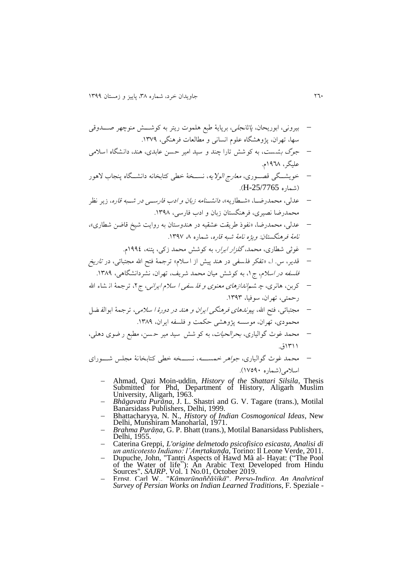بیرونی، ابوريحان، پاتانجلی، برپايۀ طبع هلموت ريتر به کوشااش منوچهر صاادوقی سها، تهران، پ وهشگاه علو انسانی و میالعات فرهنگی، .9371

- ج*وگ بشست*، به کوشش تارا چند و سید امیر حسن عابدی، هند، دانشگاه اسلامی علیگر، ۱۹۶۸م.
- خويشــگی قصــوری، *معارج الولايه*، نســخۀ خطی کتابخانه دانشــگاه پنجاب لاهور (شماره H-25/7765).
- عدلی، محمدرضــا، «شــطاريه»، *دانشــنامه زبان و ادب فارســی در شــبه قاره*، زير نظر محمدرضا نصیری، فرهنگستان زبان و ادب فارسی، ۱۳۹۸.
- عدلی، محمدرضا، »نقود طريقت عشقیه در هندوستان به روايت شیخ قاضن شیاری«، نامۀ فرهنگستان: ويژه نامۀ شبه قاره، شماره ۸، ۱۳۹۷.
	- غوثی شطاری، محمد، *گلزار ابرار*، به کوشش محمد زکی، پتنه، ۱۹۹٤م.
- قدير، س. ا.، «تفکر فلسفی در هند پيش از ا سلام» ترجمۀ فتح الله مجتبائی، در *تاريخ* فلسفه در *اسلام*، ج ۱، به کوشش میان محمد شريف، تهران، نشردانشگاهی، ۱۳۸۹.
- کربن، هانری، چ ش*م اندازهای معنوی و فله سفی ا سلام ایرانی*، ج۲، ترجمۀ از شاء الله رحمتی، تهران، سوفیا، .9313
- مجتبائی، فتح الله، *پیوندهای فرهنگی ایران و هند در دورۀ ا سلامی،* ترجمۀ ابوالف ضل محمودی، تهران، موسسه پژوهشی حکمت و فلسفه ایران، ۱۳۸۹.
- محمد غوث گوالیاری، بحرالحیات، به کو شش سید میر ح سن، میبع ر ضوی دهلی، 9399ق.
- محمد غوث گوالیاری، *جواهر خمســـه*، نســخه خطی کتابخانۀ مجلس شــورای اسیمی)شماره 97219(.
	- Ahmad, Qazi Moin-uddin, *History of the Shattari Silsila*, Thesis Submitted for Phd, Department of History, Aligarh Muslim University, Aligarh, 1963.
	- *Bhāgavata Purāṇa*, J. L. Shastri and G. V. Tagare (trans.), Motilal Banarsidass Publishers, Delhi, 1999.
	- Bhattacharyya, N. N., *History of Indian Cosmogonical Ideas*, New Delhi, Munshiram Manoharlal, 1971.
	- *Brahma Purāṇa*, G. P. Bhatt (trans.), Motilal Banarsidass Publishers, Delhi, 1955.
	- Caterina Greppi, *L'origine delmetodo psicofisico esicasta, Analisi di un anticotesto Indiano: l'Amṛtakuṇḍa*, Torino: Il Leone Verde, 2011.
	- Dupuche, John, "Tantri Aspects of Hawd Mā al-Hayat: ("The Pool of the Water of life"): An Arabic Text Developed from Hindu Sources", *SAJRP*, Vol. 1 No.01, October 2019.
	- Ernst, Carl W., "*Kāmarūpañčāšikā*", *Perso-Indica. An Analytical Survey of Persian Works on Indian Learned Traditions*, F. Speziale -